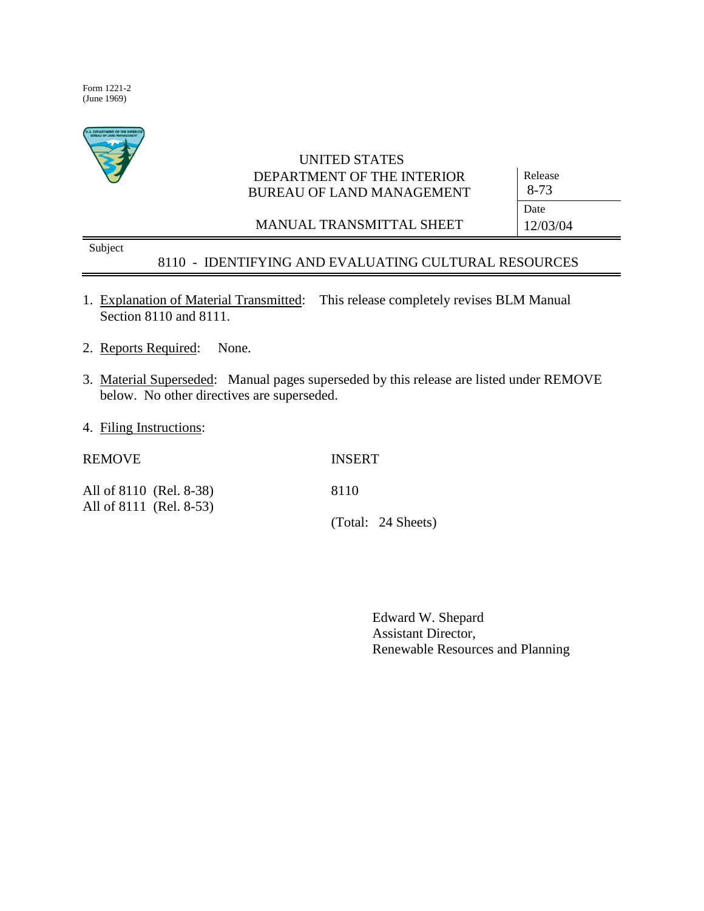Form 1221-2 (June 1969)



# UNITED STATES DEPARTMENT OF THE INTERIOR BUREAU OF LAND MANAGEMENT

MANUAL TRANSMITTAL SHEET

Release 8-73 Date 12/03/04

Subject

## 8110 - IDENTIFYING AND EVALUATING CULTURAL RESOURCES

- 1. Explanation of Material Transmitted: This release completely revises BLM Manual Section 8110 and 8111.
- 2. Reports Required: None.
- 3. Material Superseded: Manual pages superseded by this release are listed under REMOVE below. No other directives are superseded.
- 4. Filing Instructions:

| <b>REMOVE</b>                                      | <b>INSERT</b>      |
|----------------------------------------------------|--------------------|
| All of 8110 (Rel. 8-38)<br>All of 8111 (Rel. 8-53) | 8110               |
|                                                    | (Total: 24 Sheets) |

Edward W. Shepard Assistant Director, Renewable Resources and Planning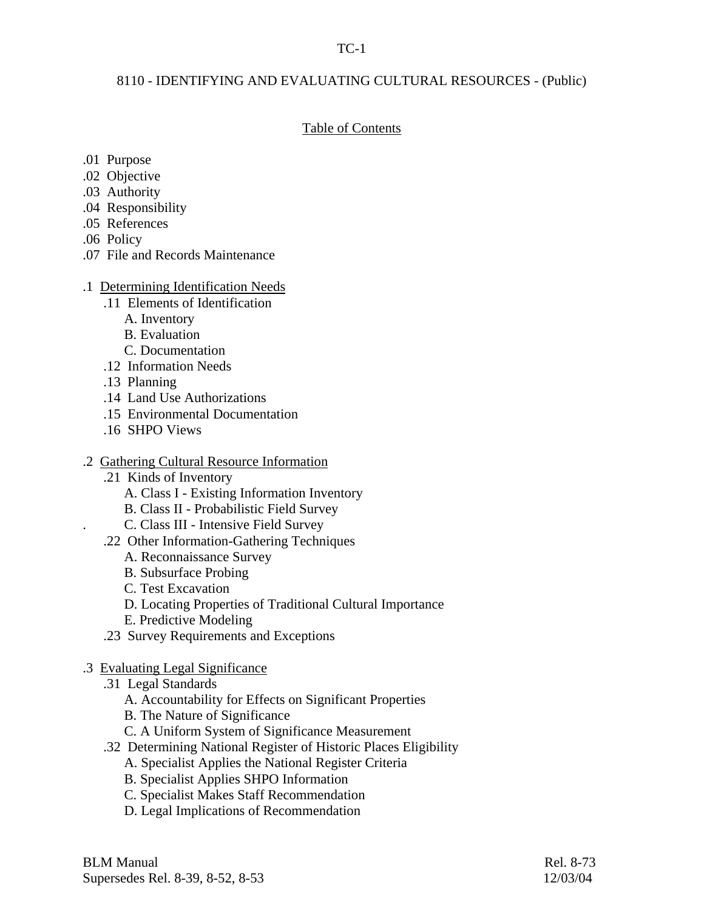## TC-1

## 8110 - IDENTIFYING AND EVALUATING CULTURAL RESOURCES - (Public)

## Table of Contents

- .01 Purpose
- .02 Objective
- .03 Authority
- .04 Responsibility
- .05 References
- .06 Policy
- .07 File and Records Maintenance

## .1 Determining Identification Needs

- .11 Elements of Identification
	- A. Inventory
	- B. Evaluation
	- C. Documentation
- .12 Information Needs
- .13 Planning
- .14 Land Use Authorizations
- .15 Environmental Documentation
- .16 SHPO Views

## .2 Gathering Cultural Resource Information

- .21 Kinds of Inventory
	- A. Class I Existing Information Inventory
	- B. Class II Probabilistic Field Survey
	- . C. Class III Intensive Field Survey
- .22 Other Information-Gathering Techniques
	- A. Reconnaissance Survey
	- B. Subsurface Probing
	- C. Test Excavation
	- D. Locating Properties of Traditional Cultural Importance
	- E. Predictive Modeling
- .23 Survey Requirements and Exceptions

## .3 Evaluating Legal Significance

- .31 Legal Standards
	- A. Accountability for Effects on Significant Properties
	- B. The Nature of Significance
	- C. A Uniform System of Significance Measurement
- .32 Determining National Register of Historic Places Eligibility
	- A. Specialist Applies the National Register Criteria
	- B. Specialist Applies SHPO Information
	- C. Specialist Makes Staff Recommendation
	- D. Legal Implications of Recommendation

BLM Manual Rel. 8-73 Supersedes Rel. 8-39, 8-52, 8-53 12/03/04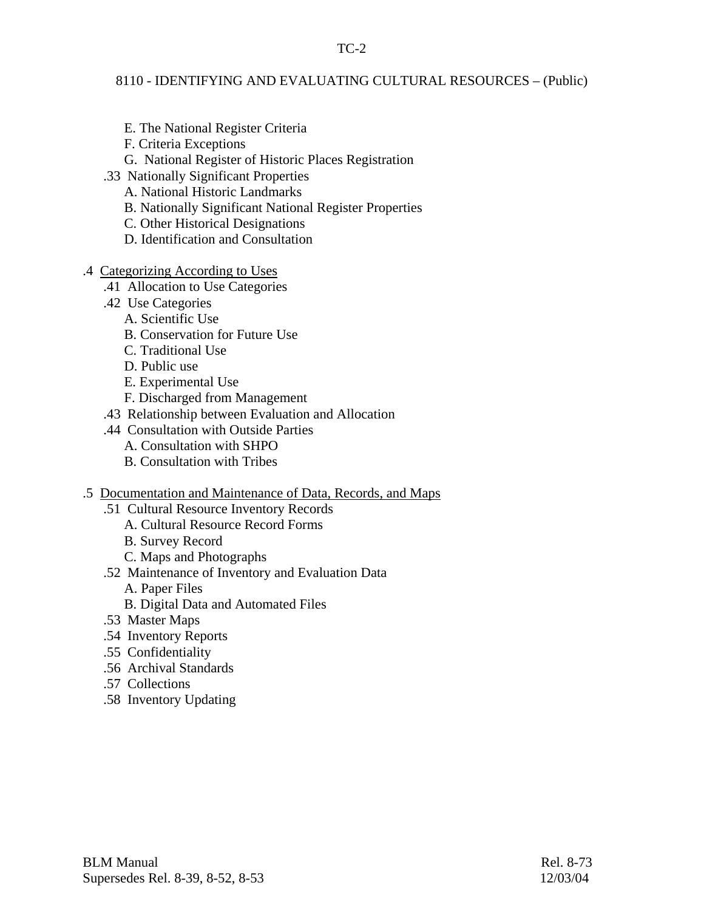TC-2

## 8110 - IDENTIFYING AND EVALUATING CULTURAL RESOURCES – (Public)

- E. The National Register Criteria
- F. Criteria Exceptions
- G. National Register of Historic Places Registration
- .33 Nationally Significant Properties
	- A. National Historic Landmarks
	- B. Nationally Significant National Register Properties
	- C. Other Historical Designations
	- D. Identification and Consultation
- .4 Categorizing According to Uses
	- .41 Allocation to Use Categories
	- .42 Use Categories
		- A. Scientific Use
		- B. Conservation for Future Use
		- C. Traditional Use
		- D. Public use
		- E. Experimental Use
		- F. Discharged from Management
	- .43 Relationship between Evaluation and Allocation
	- .44 Consultation with Outside Parties
		- A. Consultation with SHPO
		- B. Consultation with Tribes
- .5 Documentation and Maintenance of Data, Records, and Maps
	- .51 Cultural Resource Inventory Records
		- A. Cultural Resource Record Forms
		- B. Survey Record
		- C. Maps and Photographs
	- .52 Maintenance of Inventory and Evaluation Data
		- A. Paper Files
		- B. Digital Data and Automated Files
	- .53 Master Maps
	- .54 Inventory Reports
	- .55 Confidentiality
	- .56 Archival Standards
	- .57 Collections
	- .58 Inventory Updating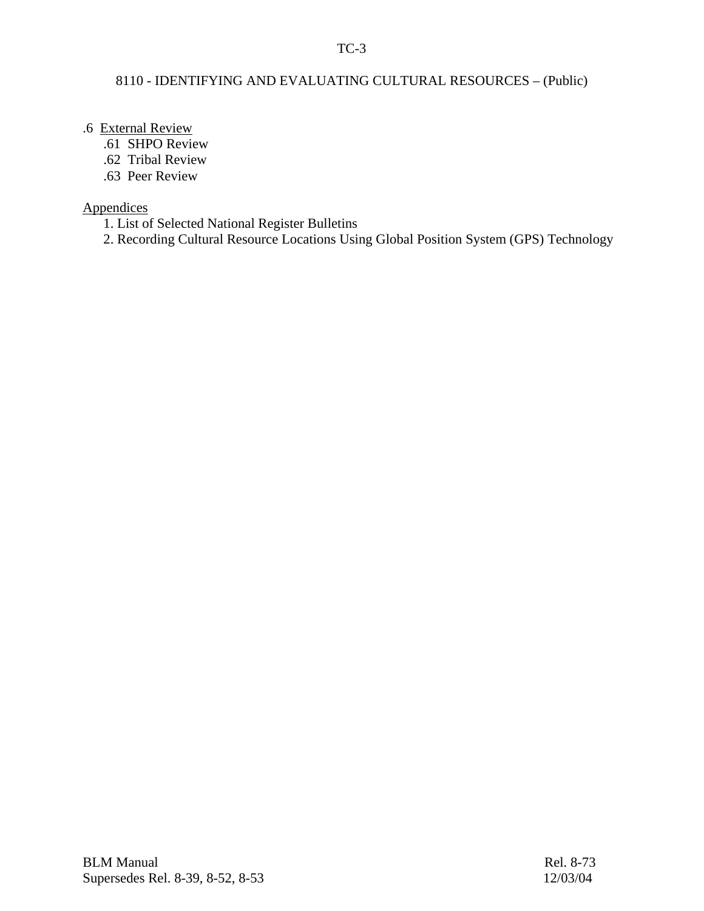## TC-3

## 8110 - IDENTIFYING AND EVALUATING CULTURAL RESOURCES – (Public)

## .6 External Review

- .61 SHPO Review
- .62 Tribal Review
- .63 Peer Review

# **Appendices**

- 1. List of Selected National Register Bulletins
- 2. Recording Cultural Resource Locations Using Global Position System (GPS) Technology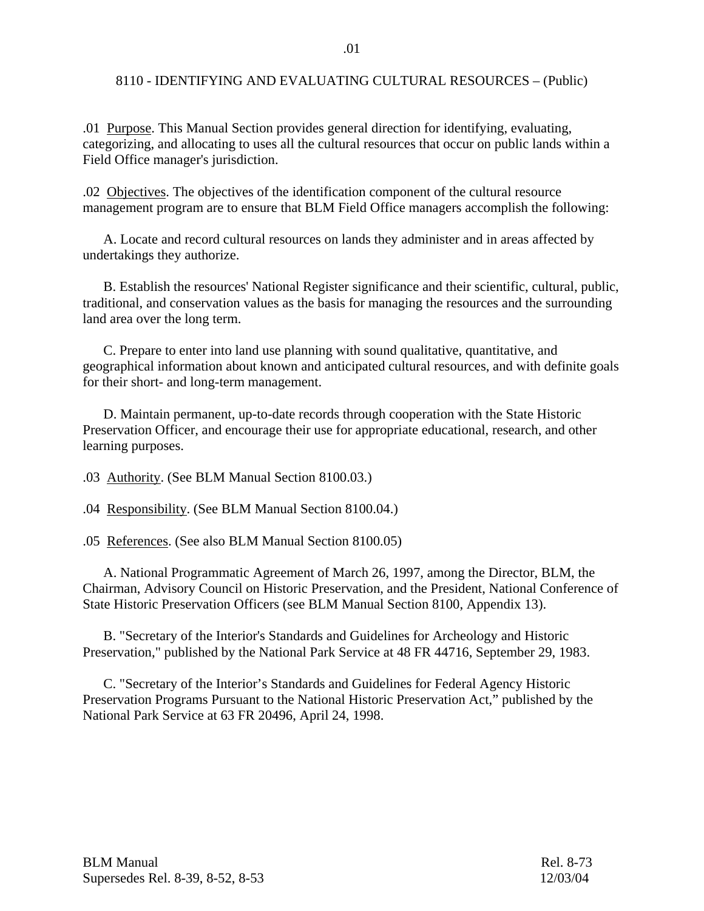.01 Purpose. This Manual Section provides general direction for identifying, evaluating, categorizing, and allocating to uses all the cultural resources that occur on public lands within a Field Office manager's jurisdiction.

.02 Objectives. The objectives of the identification component of the cultural resource management program are to ensure that BLM Field Office managers accomplish the following:

 A. Locate and record cultural resources on lands they administer and in areas affected by undertakings they authorize.

 B. Establish the resources' National Register significance and their scientific, cultural, public, traditional, and conservation values as the basis for managing the resources and the surrounding land area over the long term.

 C. Prepare to enter into land use planning with sound qualitative, quantitative, and geographical information about known and anticipated cultural resources, and with definite goals for their short- and long-term management.

 D. Maintain permanent, up-to-date records through cooperation with the State Historic Preservation Officer, and encourage their use for appropriate educational, research, and other learning purposes.

.03 Authority. (See BLM Manual Section 8100.03.)

.04 Responsibility. (See BLM Manual Section 8100.04.)

.05 References. (See also BLM Manual Section 8100.05)

 A. National Programmatic Agreement of March 26, 1997, among the Director, BLM, the Chairman, Advisory Council on Historic Preservation, and the President, National Conference of State Historic Preservation Officers (see BLM Manual Section 8100, Appendix 13).

 B. "Secretary of the Interior's Standards and Guidelines for Archeology and Historic Preservation," published by the National Park Service at 48 FR 44716, September 29, 1983.

 C. "Secretary of the Interior's Standards and Guidelines for Federal Agency Historic Preservation Programs Pursuant to the National Historic Preservation Act," published by the National Park Service at 63 FR 20496, April 24, 1998.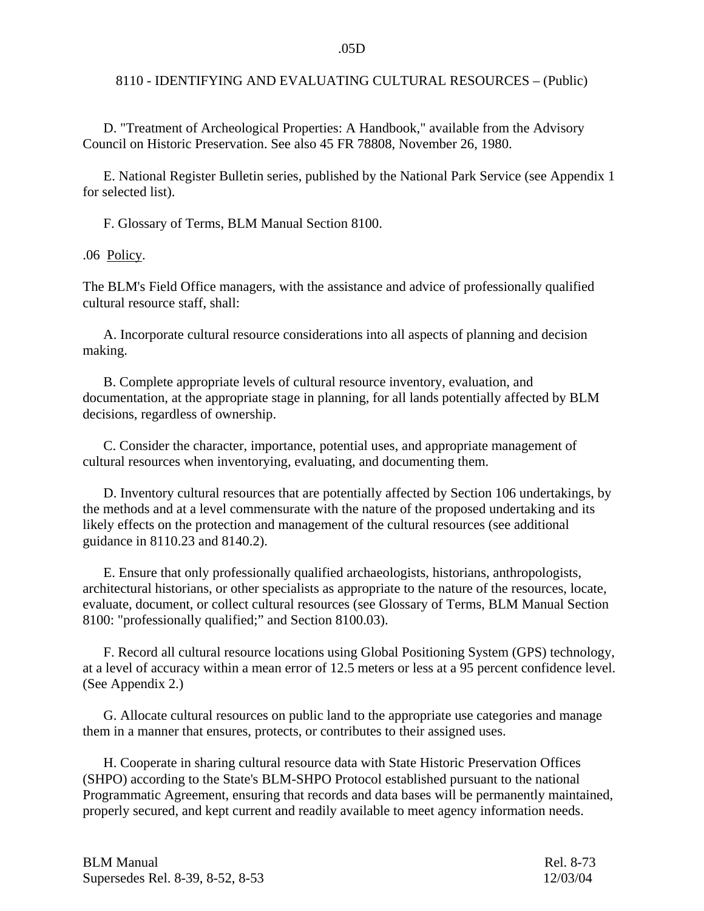D. "Treatment of Archeological Properties: A Handbook," available from the Advisory Council on Historic Preservation. See also 45 FR 78808, November 26, 1980.

 E. National Register Bulletin series, published by the National Park Service (see Appendix 1 for selected list).

F. Glossary of Terms, BLM Manual Section 8100.

.06 Policy.

The BLM's Field Office managers, with the assistance and advice of professionally qualified cultural resource staff, shall:

 A. Incorporate cultural resource considerations into all aspects of planning and decision making.

 B. Complete appropriate levels of cultural resource inventory, evaluation, and documentation, at the appropriate stage in planning, for all lands potentially affected by BLM decisions, regardless of ownership.

 C. Consider the character, importance, potential uses, and appropriate management of cultural resources when inventorying, evaluating, and documenting them.

 D. Inventory cultural resources that are potentially affected by Section 106 undertakings, by the methods and at a level commensurate with the nature of the proposed undertaking and its likely effects on the protection and management of the cultural resources (see additional guidance in 8110.23 and 8140.2).

 E. Ensure that only professionally qualified archaeologists, historians, anthropologists, architectural historians, or other specialists as appropriate to the nature of the resources, locate, evaluate, document, or collect cultural resources (see Glossary of Terms, BLM Manual Section 8100: "professionally qualified;" and Section 8100.03).

 F. Record all cultural resource locations using Global Positioning System (GPS) technology, at a level of accuracy within a mean error of 12.5 meters or less at a 95 percent confidence level. (See Appendix 2.)

 G. Allocate cultural resources on public land to the appropriate use categories and manage them in a manner that ensures, protects, or contributes to their assigned uses.

 H. Cooperate in sharing cultural resource data with State Historic Preservation Offices (SHPO) according to the State's BLM-SHPO Protocol established pursuant to the national Programmatic Agreement, ensuring that records and data bases will be permanently maintained, properly secured, and kept current and readily available to meet agency information needs.

| <b>BLM Manual</b>                | Rel. 8-73 |
|----------------------------------|-----------|
| Supersedes Rel. 8-39, 8-52, 8-53 | 12/03/04  |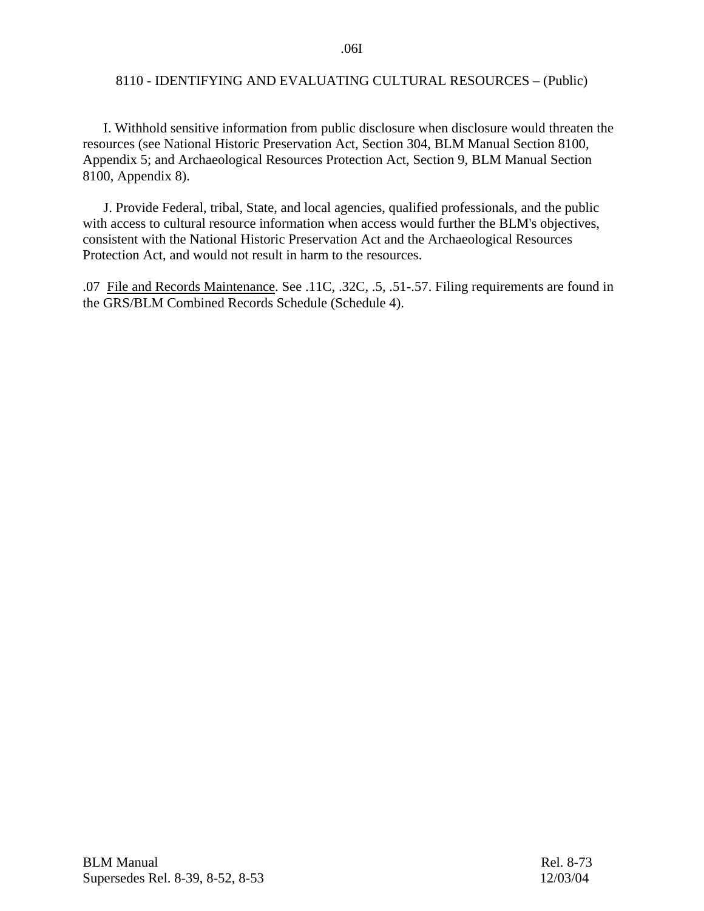I. Withhold sensitive information from public disclosure when disclosure would threaten the resources (see National Historic Preservation Act, Section 304, BLM Manual Section 8100, Appendix 5; and Archaeological Resources Protection Act, Section 9, BLM Manual Section 8100, Appendix 8).

 J. Provide Federal, tribal, State, and local agencies, qualified professionals, and the public with access to cultural resource information when access would further the BLM's objectives, consistent with the National Historic Preservation Act and the Archaeological Resources Protection Act, and would not result in harm to the resources.

.07 File and Records Maintenance. See .11C, .32C, .5, .51-.57. Filing requirements are found in the GRS/BLM Combined Records Schedule (Schedule 4).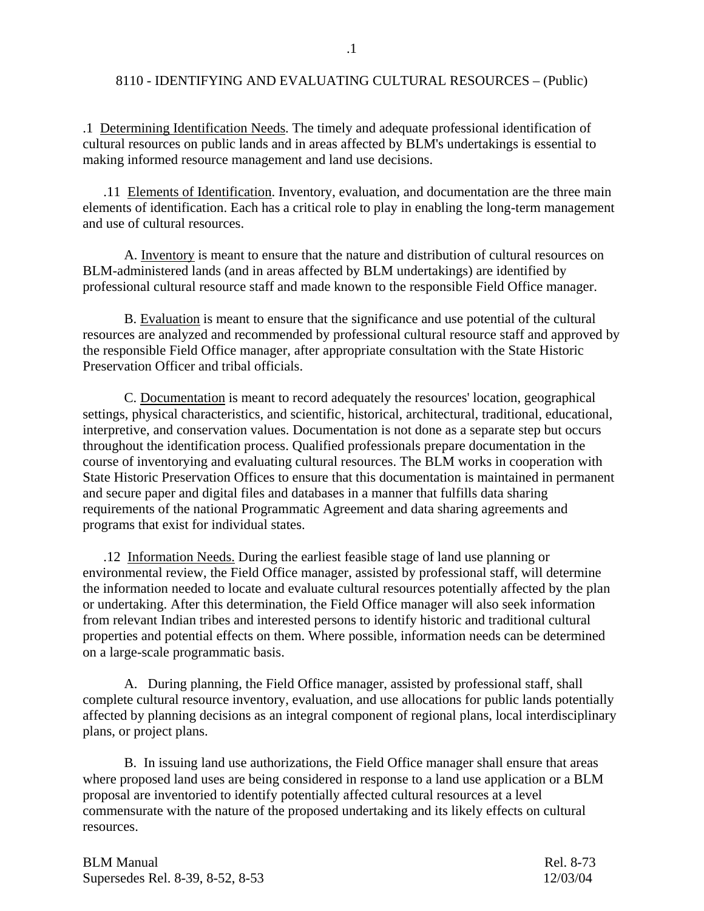.1 Determining Identification Needs. The timely and adequate professional identification of cultural resources on public lands and in areas affected by BLM's undertakings is essential to making informed resource management and land use decisions.

 .11 Elements of Identification. Inventory, evaluation, and documentation are the three main elements of identification. Each has a critical role to play in enabling the long-term management and use of cultural resources.

 A. Inventory is meant to ensure that the nature and distribution of cultural resources on BLM-administered lands (and in areas affected by BLM undertakings) are identified by professional cultural resource staff and made known to the responsible Field Office manager.

 B. Evaluation is meant to ensure that the significance and use potential of the cultural resources are analyzed and recommended by professional cultural resource staff and approved by the responsible Field Office manager, after appropriate consultation with the State Historic Preservation Officer and tribal officials.

 C. Documentation is meant to record adequately the resources' location, geographical settings, physical characteristics, and scientific, historical, architectural, traditional, educational, interpretive, and conservation values. Documentation is not done as a separate step but occurs throughout the identification process. Qualified professionals prepare documentation in the course of inventorying and evaluating cultural resources. The BLM works in cooperation with State Historic Preservation Offices to ensure that this documentation is maintained in permanent and secure paper and digital files and databases in a manner that fulfills data sharing requirements of the national Programmatic Agreement and data sharing agreements and programs that exist for individual states.

 .12 Information Needs. During the earliest feasible stage of land use planning or environmental review, the Field Office manager, assisted by professional staff, will determine the information needed to locate and evaluate cultural resources potentially affected by the plan or undertaking. After this determination, the Field Office manager will also seek information from relevant Indian tribes and interested persons to identify historic and traditional cultural properties and potential effects on them. Where possible, information needs can be determined on a large-scale programmatic basis.

 A. During planning, the Field Office manager, assisted by professional staff, shall complete cultural resource inventory, evaluation, and use allocations for public lands potentially affected by planning decisions as an integral component of regional plans, local interdisciplinary plans, or project plans.

 B. In issuing land use authorizations, the Field Office manager shall ensure that areas where proposed land uses are being considered in response to a land use application or a BLM proposal are inventoried to identify potentially affected cultural resources at a level commensurate with the nature of the proposed undertaking and its likely effects on cultural resources.

| <b>BLM Manual</b>                | Rel. 8-73 |
|----------------------------------|-----------|
| Supersedes Rel. 8-39, 8-52, 8-53 | 12/03/04  |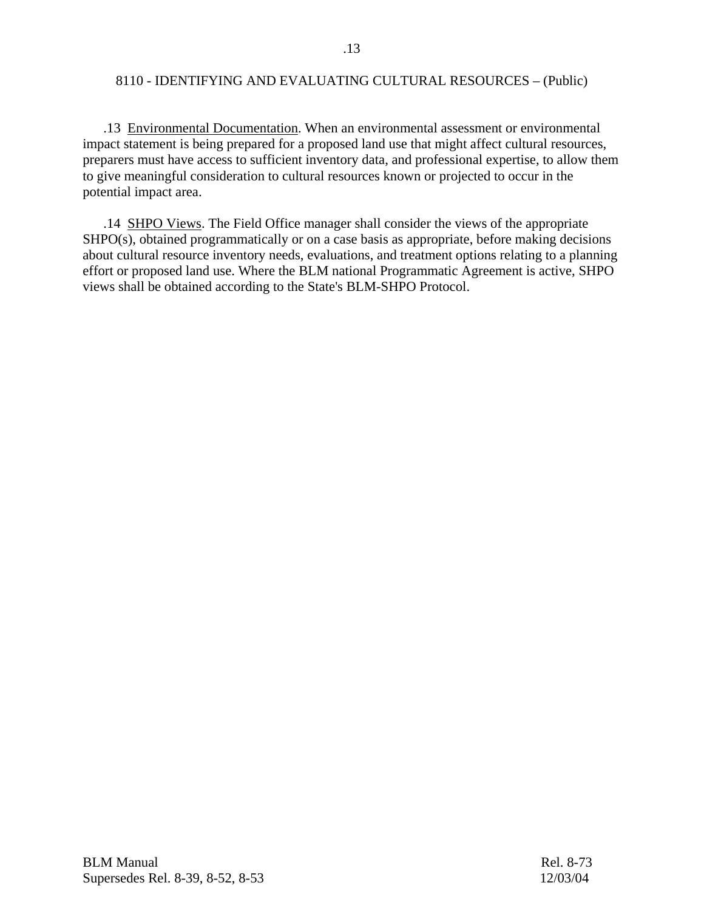.13 Environmental Documentation. When an environmental assessment or environmental impact statement is being prepared for a proposed land use that might affect cultural resources, preparers must have access to sufficient inventory data, and professional expertise, to allow them to give meaningful consideration to cultural resources known or projected to occur in the potential impact area.

 .14 SHPO Views. The Field Office manager shall consider the views of the appropriate SHPO(s), obtained programmatically or on a case basis as appropriate, before making decisions about cultural resource inventory needs, evaluations, and treatment options relating to a planning effort or proposed land use. Where the BLM national Programmatic Agreement is active, SHPO views shall be obtained according to the State's BLM-SHPO Protocol.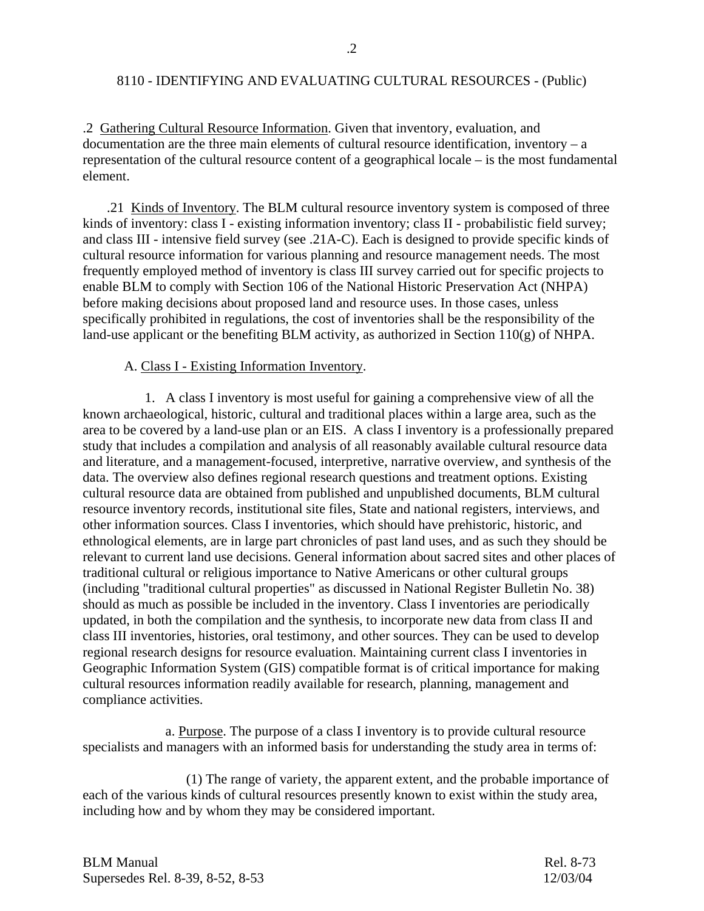.2 Gathering Cultural Resource Information. Given that inventory, evaluation, and documentation are the three main elements of cultural resource identification, inventory – a representation of the cultural resource content of a geographical locale – is the most fundamental element.

.21 Kinds of Inventory. The BLM cultural resource inventory system is composed of three kinds of inventory: class I - existing information inventory; class II - probabilistic field survey; and class III - intensive field survey (see .21A-C). Each is designed to provide specific kinds of cultural resource information for various planning and resource management needs. The most frequently employed method of inventory is class III survey carried out for specific projects to enable BLM to comply with Section 106 of the National Historic Preservation Act (NHPA) before making decisions about proposed land and resource uses. In those cases, unless specifically prohibited in regulations, the cost of inventories shall be the responsibility of the land-use applicant or the benefiting BLM activity, as authorized in Section 110(g) of NHPA.

#### A. Class I - Existing Information Inventory.

 1. A class I inventory is most useful for gaining a comprehensive view of all the known archaeological, historic, cultural and traditional places within a large area, such as the area to be covered by a land-use plan or an EIS.A class I inventory is a professionally prepared study that includes a compilation and analysis of all reasonably available cultural resource data and literature, and a management-focused, interpretive, narrative overview, and synthesis of the data. The overview also defines regional research questions and treatment options. Existing cultural resource data are obtained from published and unpublished documents, BLM cultural resource inventory records, institutional site files, State and national registers, interviews, and other information sources. Class I inventories, which should have prehistoric, historic, and ethnological elements, are in large part chronicles of past land uses, and as such they should be relevant to current land use decisions. General information about sacred sites and other places of traditional cultural or religious importance to Native Americans or other cultural groups (including "traditional cultural properties" as discussed in National Register Bulletin No. 38) should as much as possible be included in the inventory. Class I inventories are periodically updated, in both the compilation and the synthesis, to incorporate new data from class II and class III inventories, histories, oral testimony, and other sources. They can be used to develop regional research designs for resource evaluation. Maintaining current class I inventories in Geographic Information System (GIS) compatible format is of critical importance for making cultural resources information readily available for research, planning, management and compliance activities.

 a. Purpose. The purpose of a class I inventory is to provide cultural resource specialists and managers with an informed basis for understanding the study area in terms of:

 (1) The range of variety, the apparent extent, and the probable importance of each of the various kinds of cultural resources presently known to exist within the study area, including how and by whom they may be considered important.

| <b>BLM Manual</b>                | Rel. 8-73 |
|----------------------------------|-----------|
| Supersedes Rel. 8-39, 8-52, 8-53 | 12/03/04  |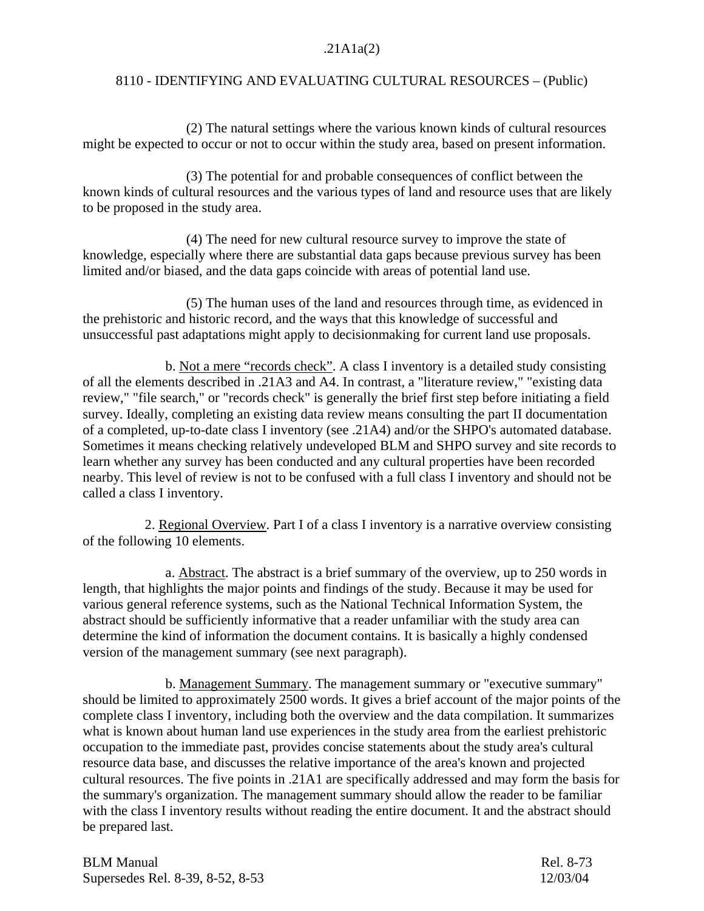## .21A1a(2)

## 8110 - IDENTIFYING AND EVALUATING CULTURAL RESOURCES – (Public)

 (2) The natural settings where the various known kinds of cultural resources might be expected to occur or not to occur within the study area, based on present information.

 (3) The potential for and probable consequences of conflict between the known kinds of cultural resources and the various types of land and resource uses that are likely to be proposed in the study area.

 (4) The need for new cultural resource survey to improve the state of knowledge, especially where there are substantial data gaps because previous survey has been limited and/or biased, and the data gaps coincide with areas of potential land use.

 (5) The human uses of the land and resources through time, as evidenced in the prehistoric and historic record, and the ways that this knowledge of successful and unsuccessful past adaptations might apply to decisionmaking for current land use proposals.

 b. Not a mere "records check". A class I inventory is a detailed study consisting of all the elements described in .21A3 and A4. In contrast, a "literature review," "existing data review," "file search," or "records check" is generally the brief first step before initiating a field survey. Ideally, completing an existing data review means consulting the part II documentation of a completed, up-to-date class I inventory (see .21A4) and/or the SHPO's automated database. Sometimes it means checking relatively undeveloped BLM and SHPO survey and site records to learn whether any survey has been conducted and any cultural properties have been recorded nearby. This level of review is not to be confused with a full class I inventory and should not be called a class I inventory.

 2. Regional Overview. Part I of a class I inventory is a narrative overview consisting of the following 10 elements.

 a. Abstract. The abstract is a brief summary of the overview, up to 250 words in length, that highlights the major points and findings of the study. Because it may be used for various general reference systems, such as the National Technical Information System, the abstract should be sufficiently informative that a reader unfamiliar with the study area can determine the kind of information the document contains. It is basically a highly condensed version of the management summary (see next paragraph).

 b. Management Summary. The management summary or "executive summary" should be limited to approximately 2500 words. It gives a brief account of the major points of the complete class I inventory, including both the overview and the data compilation. It summarizes what is known about human land use experiences in the study area from the earliest prehistoric occupation to the immediate past, provides concise statements about the study area's cultural resource data base, and discusses the relative importance of the area's known and projected cultural resources. The five points in .21A1 are specifically addressed and may form the basis for the summary's organization. The management summary should allow the reader to be familiar with the class I inventory results without reading the entire document. It and the abstract should be prepared last.

| <b>BLM Manual</b>                | Rel. 8-73 |
|----------------------------------|-----------|
| Supersedes Rel. 8-39, 8-52, 8-53 | 12/03/04  |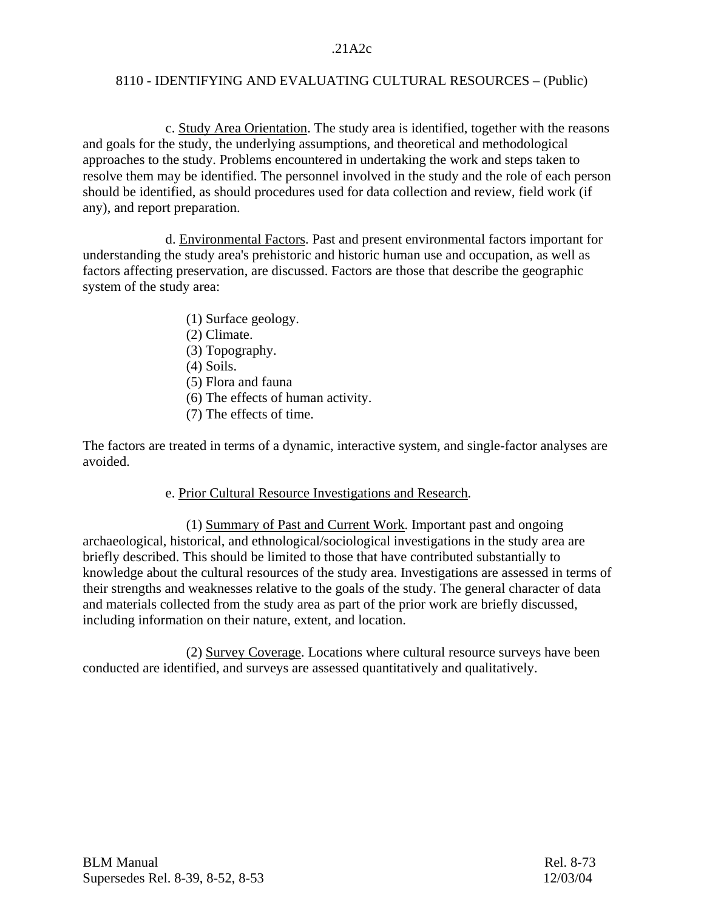c. Study Area Orientation. The study area is identified, together with the reasons and goals for the study, the underlying assumptions, and theoretical and methodological approaches to the study. Problems encountered in undertaking the work and steps taken to resolve them may be identified. The personnel involved in the study and the role of each person should be identified, as should procedures used for data collection and review, field work (if any), and report preparation.

 d. Environmental Factors. Past and present environmental factors important for understanding the study area's prehistoric and historic human use and occupation, as well as factors affecting preservation, are discussed. Factors are those that describe the geographic system of the study area:

- (1) Surface geology.
- (2) Climate.
- (3) Topography.
- (4) Soils.
- (5) Flora and fauna
- (6) The effects of human activity.
- (7) The effects of time.

The factors are treated in terms of a dynamic, interactive system, and single-factor analyses are avoided.

## e. Prior Cultural Resource Investigations and Research.

 (1) Summary of Past and Current Work. Important past and ongoing archaeological, historical, and ethnological/sociological investigations in the study area are briefly described. This should be limited to those that have contributed substantially to knowledge about the cultural resources of the study area. Investigations are assessed in terms of their strengths and weaknesses relative to the goals of the study. The general character of data and materials collected from the study area as part of the prior work are briefly discussed, including information on their nature, extent, and location.

 (2) Survey Coverage. Locations where cultural resource surveys have been conducted are identified, and surveys are assessed quantitatively and qualitatively.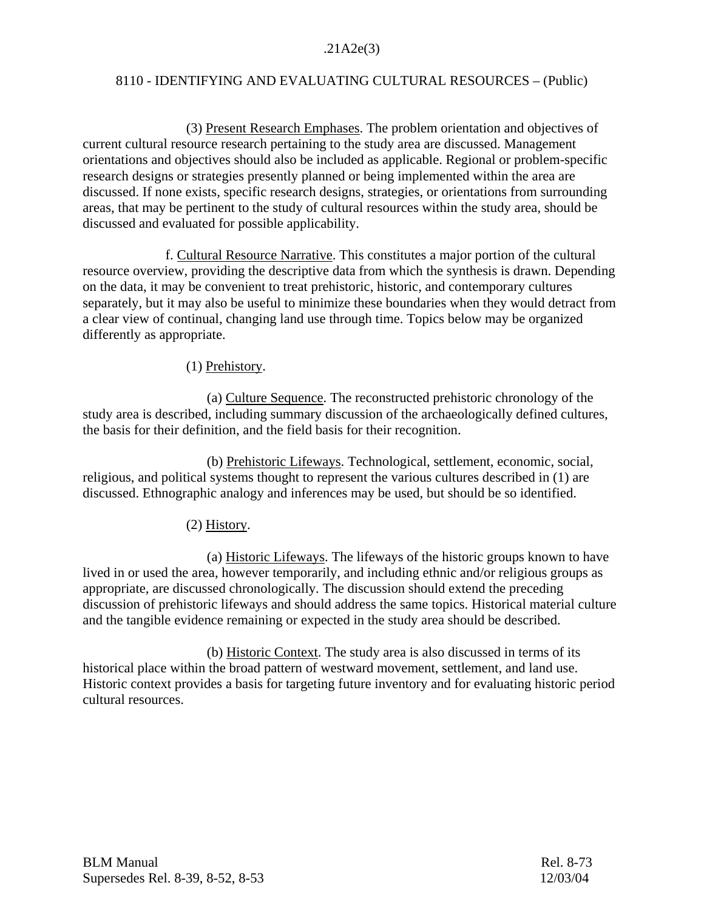## .21A2e(3)

## 8110 - IDENTIFYING AND EVALUATING CULTURAL RESOURCES – (Public)

 (3) Present Research Emphases. The problem orientation and objectives of current cultural resource research pertaining to the study area are discussed. Management orientations and objectives should also be included as applicable. Regional or problem-specific research designs or strategies presently planned or being implemented within the area are discussed. If none exists, specific research designs, strategies, or orientations from surrounding areas, that may be pertinent to the study of cultural resources within the study area, should be discussed and evaluated for possible applicability.

 f. Cultural Resource Narrative. This constitutes a major portion of the cultural resource overview, providing the descriptive data from which the synthesis is drawn. Depending on the data, it may be convenient to treat prehistoric, historic, and contemporary cultures separately, but it may also be useful to minimize these boundaries when they would detract from a clear view of continual, changing land use through time. Topics below may be organized differently as appropriate.

## (1) Prehistory.

 (a) Culture Sequence. The reconstructed prehistoric chronology of the study area is described, including summary discussion of the archaeologically defined cultures, the basis for their definition, and the field basis for their recognition.

 (b) Prehistoric Lifeways. Technological, settlement, economic, social, religious, and political systems thought to represent the various cultures described in (1) are discussed. Ethnographic analogy and inferences may be used, but should be so identified.

## (2) History.

 (a) Historic Lifeways. The lifeways of the historic groups known to have lived in or used the area, however temporarily, and including ethnic and/or religious groups as appropriate, are discussed chronologically. The discussion should extend the preceding discussion of prehistoric lifeways and should address the same topics. Historical material culture and the tangible evidence remaining or expected in the study area should be described.

 (b) Historic Context. The study area is also discussed in terms of its historical place within the broad pattern of westward movement, settlement, and land use. Historic context provides a basis for targeting future inventory and for evaluating historic period cultural resources.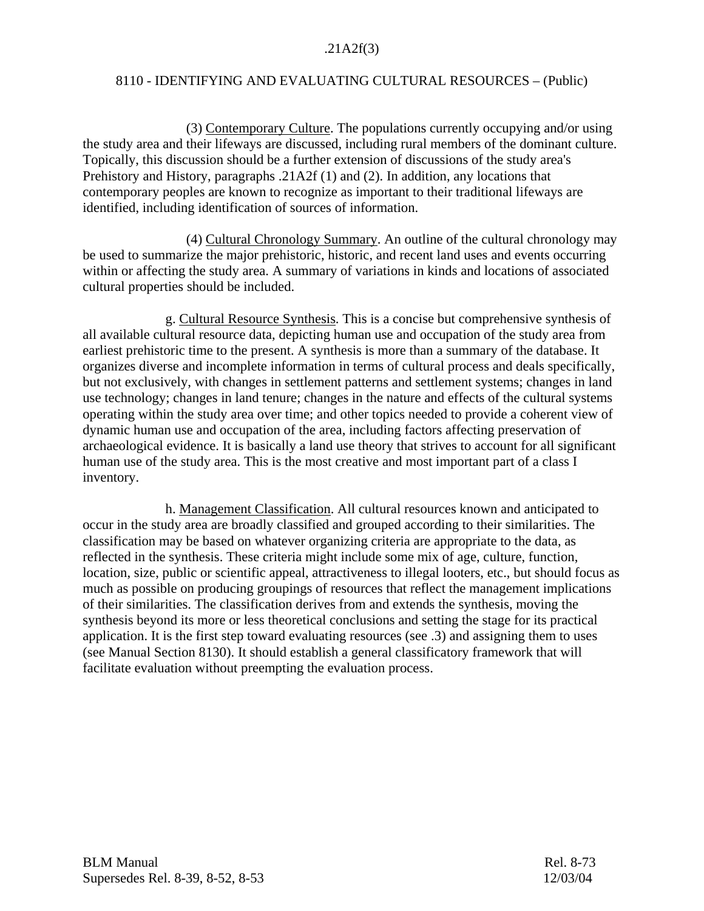## .21A2f(3)

## 8110 - IDENTIFYING AND EVALUATING CULTURAL RESOURCES – (Public)

 (3) Contemporary Culture. The populations currently occupying and/or using the study area and their lifeways are discussed, including rural members of the dominant culture. Topically, this discussion should be a further extension of discussions of the study area's Prehistory and History, paragraphs .21A2f (1) and (2). In addition, any locations that contemporary peoples are known to recognize as important to their traditional lifeways are identified, including identification of sources of information.

 (4) Cultural Chronology Summary. An outline of the cultural chronology may be used to summarize the major prehistoric, historic, and recent land uses and events occurring within or affecting the study area. A summary of variations in kinds and locations of associated cultural properties should be included.

 g. Cultural Resource Synthesis. This is a concise but comprehensive synthesis of all available cultural resource data, depicting human use and occupation of the study area from earliest prehistoric time to the present. A synthesis is more than a summary of the database. It organizes diverse and incomplete information in terms of cultural process and deals specifically, but not exclusively, with changes in settlement patterns and settlement systems; changes in land use technology; changes in land tenure; changes in the nature and effects of the cultural systems operating within the study area over time; and other topics needed to provide a coherent view of dynamic human use and occupation of the area, including factors affecting preservation of archaeological evidence. It is basically a land use theory that strives to account for all significant human use of the study area. This is the most creative and most important part of a class I inventory.

 h. Management Classification. All cultural resources known and anticipated to occur in the study area are broadly classified and grouped according to their similarities. The classification may be based on whatever organizing criteria are appropriate to the data, as reflected in the synthesis. These criteria might include some mix of age, culture, function, location, size, public or scientific appeal, attractiveness to illegal looters, etc., but should focus as much as possible on producing groupings of resources that reflect the management implications of their similarities. The classification derives from and extends the synthesis, moving the synthesis beyond its more or less theoretical conclusions and setting the stage for its practical application. It is the first step toward evaluating resources (see .3) and assigning them to uses (see Manual Section 8130). It should establish a general classificatory framework that will facilitate evaluation without preempting the evaluation process.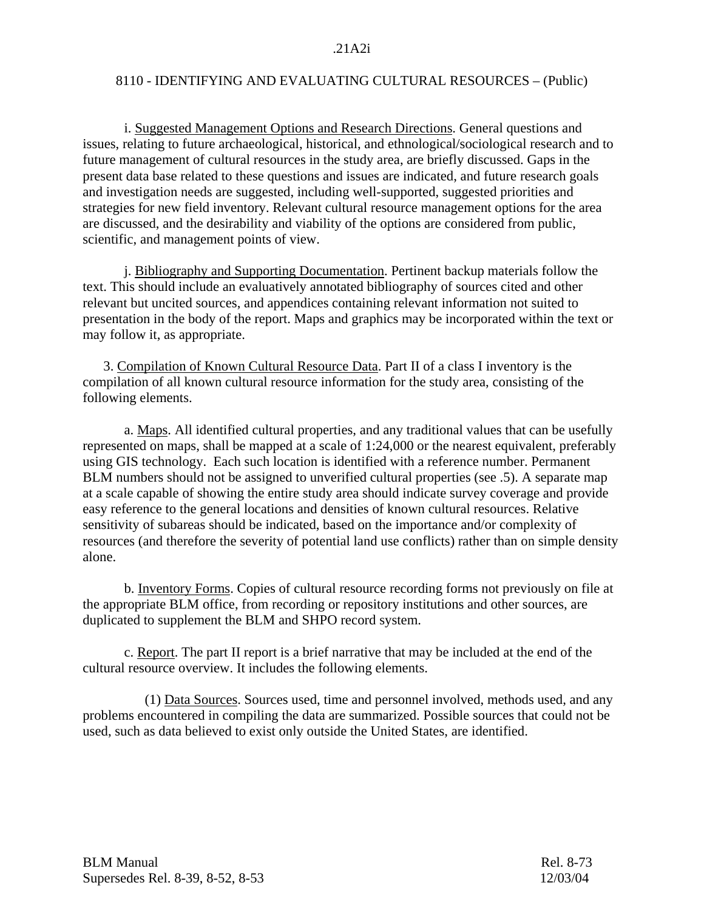i. Suggested Management Options and Research Directions. General questions and issues, relating to future archaeological, historical, and ethnological/sociological research and to future management of cultural resources in the study area, are briefly discussed. Gaps in the present data base related to these questions and issues are indicated, and future research goals and investigation needs are suggested, including well-supported, suggested priorities and strategies for new field inventory. Relevant cultural resource management options for the area are discussed, and the desirability and viability of the options are considered from public, scientific, and management points of view.

 j. Bibliography and Supporting Documentation. Pertinent backup materials follow the text. This should include an evaluatively annotated bibliography of sources cited and other relevant but uncited sources, and appendices containing relevant information not suited to presentation in the body of the report. Maps and graphics may be incorporated within the text or may follow it, as appropriate.

 3. Compilation of Known Cultural Resource Data. Part II of a class I inventory is the compilation of all known cultural resource information for the study area, consisting of the following elements.

 a. Maps. All identified cultural properties, and any traditional values that can be usefully represented on maps, shall be mapped at a scale of 1:24,000 or the nearest equivalent, preferably using GIS technology. Each such location is identified with a reference number. Permanent BLM numbers should not be assigned to unverified cultural properties (see .5). A separate map at a scale capable of showing the entire study area should indicate survey coverage and provide easy reference to the general locations and densities of known cultural resources. Relative sensitivity of subareas should be indicated, based on the importance and/or complexity of resources (and therefore the severity of potential land use conflicts) rather than on simple density alone.

 b. Inventory Forms. Copies of cultural resource recording forms not previously on file at the appropriate BLM office, from recording or repository institutions and other sources, are duplicated to supplement the BLM and SHPO record system.

 c. Report. The part II report is a brief narrative that may be included at the end of the cultural resource overview. It includes the following elements.

 (1) Data Sources. Sources used, time and personnel involved, methods used, and any problems encountered in compiling the data are summarized. Possible sources that could not be used, such as data believed to exist only outside the United States, are identified.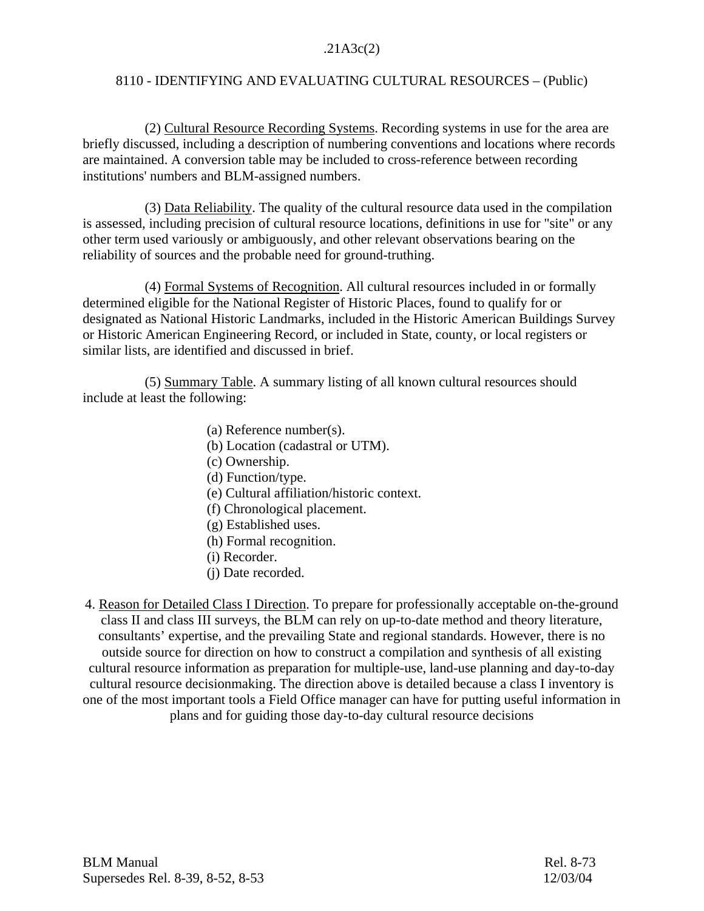## .21A3c(2)

## 8110 - IDENTIFYING AND EVALUATING CULTURAL RESOURCES – (Public)

 (2) Cultural Resource Recording Systems. Recording systems in use for the area are briefly discussed, including a description of numbering conventions and locations where records are maintained. A conversion table may be included to cross-reference between recording institutions' numbers and BLM-assigned numbers.

 (3) Data Reliability. The quality of the cultural resource data used in the compilation is assessed, including precision of cultural resource locations, definitions in use for "site" or any other term used variously or ambiguously, and other relevant observations bearing on the reliability of sources and the probable need for ground-truthing.

 (4) Formal Systems of Recognition. All cultural resources included in or formally determined eligible for the National Register of Historic Places, found to qualify for or designated as National Historic Landmarks, included in the Historic American Buildings Survey or Historic American Engineering Record, or included in State, county, or local registers or similar lists, are identified and discussed in brief.

 (5) Summary Table. A summary listing of all known cultural resources should include at least the following:

- (a) Reference number(s).
- (b) Location (cadastral or UTM).
- (c) Ownership.
- (d) Function/type.
- (e) Cultural affiliation/historic context.
- (f) Chronological placement.
- (g) Established uses.
- (h) Formal recognition.
- (i) Recorder.
- (j) Date recorded.

4. Reason for Detailed Class I Direction. To prepare for professionally acceptable on-the-ground class II and class III surveys, the BLM can rely on up-to-date method and theory literature, consultants' expertise, and the prevailing State and regional standards. However, there is no outside source for direction on how to construct a compilation and synthesis of all existing cultural resource information as preparation for multiple-use, land-use planning and day-to-day cultural resource decisionmaking. The direction above is detailed because a class I inventory is one of the most important tools a Field Office manager can have for putting useful information in plans and for guiding those day-to-day cultural resource decisions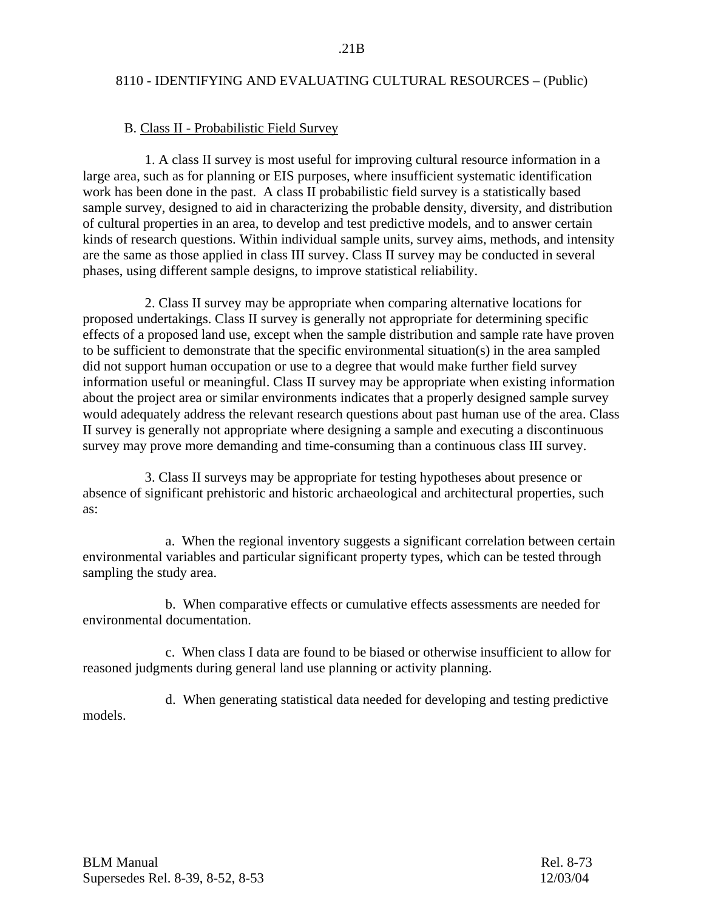#### B. Class II - Probabilistic Field Survey

 1. A class II survey is most useful for improving cultural resource information in a large area, such as for planning or EIS purposes, where insufficient systematic identification work has been done in the past.A class II probabilistic field survey is a statistically based sample survey, designed to aid in characterizing the probable density, diversity, and distribution of cultural properties in an area, to develop and test predictive models, and to answer certain kinds of research questions. Within individual sample units, survey aims, methods, and intensity are the same as those applied in class III survey. Class II survey may be conducted in several phases, using different sample designs, to improve statistical reliability.

 2. Class II survey may be appropriate when comparing alternative locations for proposed undertakings. Class II survey is generally not appropriate for determining specific effects of a proposed land use, except when the sample distribution and sample rate have proven to be sufficient to demonstrate that the specific environmental situation(s) in the area sampled did not support human occupation or use to a degree that would make further field survey information useful or meaningful. Class II survey may be appropriate when existing information about the project area or similar environments indicates that a properly designed sample survey would adequately address the relevant research questions about past human use of the area. Class II survey is generally not appropriate where designing a sample and executing a discontinuous survey may prove more demanding and time-consuming than a continuous class III survey.

 3. Class II surveys may be appropriate for testing hypotheses about presence or absence of significant prehistoric and historic archaeological and architectural properties, such as:

 a. When the regional inventory suggests a significant correlation between certain environmental variables and particular significant property types, which can be tested through sampling the study area.

 b. When comparative effects or cumulative effects assessments are needed for environmental documentation.

 c. When class I data are found to be biased or otherwise insufficient to allow for reasoned judgments during general land use planning or activity planning.

 d. When generating statistical data needed for developing and testing predictive models.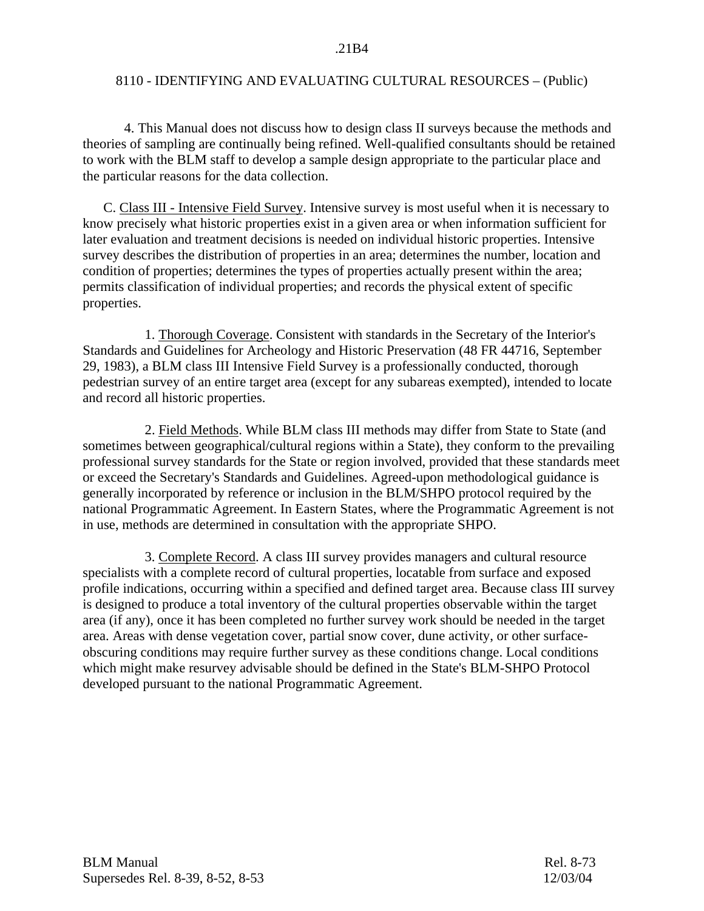4. This Manual does not discuss how to design class II surveys because the methods and theories of sampling are continually being refined. Well-qualified consultants should be retained to work with the BLM staff to develop a sample design appropriate to the particular place and the particular reasons for the data collection.

 C. Class III - Intensive Field Survey. Intensive survey is most useful when it is necessary to know precisely what historic properties exist in a given area or when information sufficient for later evaluation and treatment decisions is needed on individual historic properties. Intensive survey describes the distribution of properties in an area; determines the number, location and condition of properties; determines the types of properties actually present within the area; permits classification of individual properties; and records the physical extent of specific properties.

 1. Thorough Coverage. Consistent with standards in the Secretary of the Interior's Standards and Guidelines for Archeology and Historic Preservation (48 FR 44716, September 29, 1983), a BLM class III Intensive Field Survey is a professionally conducted, thorough pedestrian survey of an entire target area (except for any subareas exempted), intended to locate and record all historic properties.

2. Field Methods. While BLM class III methods may differ from State to State (and sometimes between geographical/cultural regions within a State), they conform to the prevailing professional survey standards for the State or region involved, provided that these standards meet or exceed the Secretary's Standards and Guidelines. Agreed-upon methodological guidance is generally incorporated by reference or inclusion in the BLM/SHPO protocol required by the national Programmatic Agreement. In Eastern States, where the Programmatic Agreement is not in use, methods are determined in consultation with the appropriate SHPO.

 3. Complete Record. A class III survey provides managers and cultural resource specialists with a complete record of cultural properties, locatable from surface and exposed profile indications, occurring within a specified and defined target area. Because class III survey is designed to produce a total inventory of the cultural properties observable within the target area (if any), once it has been completed no further survey work should be needed in the target area. Areas with dense vegetation cover, partial snow cover, dune activity, or other surfaceobscuring conditions may require further survey as these conditions change. Local conditions which might make resurvey advisable should be defined in the State's BLM-SHPO Protocol developed pursuant to the national Programmatic Agreement.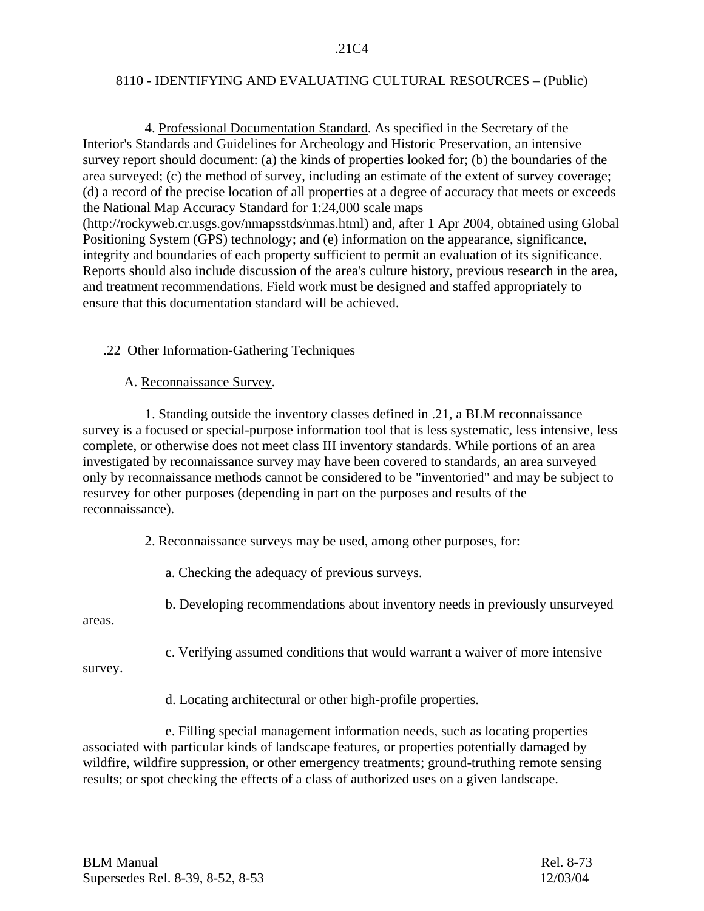4. Professional Documentation Standard. As specified in the Secretary of the Interior's Standards and Guidelines for Archeology and Historic Preservation, an intensive survey report should document: (a) the kinds of properties looked for; (b) the boundaries of the area surveyed; (c) the method of survey, including an estimate of the extent of survey coverage; (d) a record of the precise location of all properties at a degree of accuracy that meets or exceeds the National Map Accuracy Standard for 1:24,000 scale maps (http://rockyweb.cr.usgs.gov/nmapsstds/nmas.html) and, after 1 Apr 2004, obtained using Global Positioning System (GPS) technology; and (e) information on the appearance, significance, integrity and boundaries of each property sufficient to permit an evaluation of its significance. Reports should also include discussion of the area's culture history, previous research in the area, and treatment recommendations. Field work must be designed and staffed appropriately to ensure that this documentation standard will be achieved.

## .22 Other Information-Gathering Techniques

## A. Reconnaissance Survey.

 1. Standing outside the inventory classes defined in .21, a BLM reconnaissance survey is a focused or special-purpose information tool that is less systematic, less intensive, less complete, or otherwise does not meet class III inventory standards. While portions of an area investigated by reconnaissance survey may have been covered to standards, an area surveyed only by reconnaissance methods cannot be considered to be "inventoried" and may be subject to resurvey for other purposes (depending in part on the purposes and results of the reconnaissance).

2. Reconnaissance surveys may be used, among other purposes, for:

a. Checking the adequacy of previous surveys.

b. Developing recommendations about inventory needs in previously unsurveyed

areas.

c. Verifying assumed conditions that would warrant a waiver of more intensive

survey.

d. Locating architectural or other high-profile properties.

 e. Filling special management information needs, such as locating properties associated with particular kinds of landscape features, or properties potentially damaged by wildfire, wildfire suppression, or other emergency treatments; ground-truthing remote sensing results; or spot checking the effects of a class of authorized uses on a given landscape.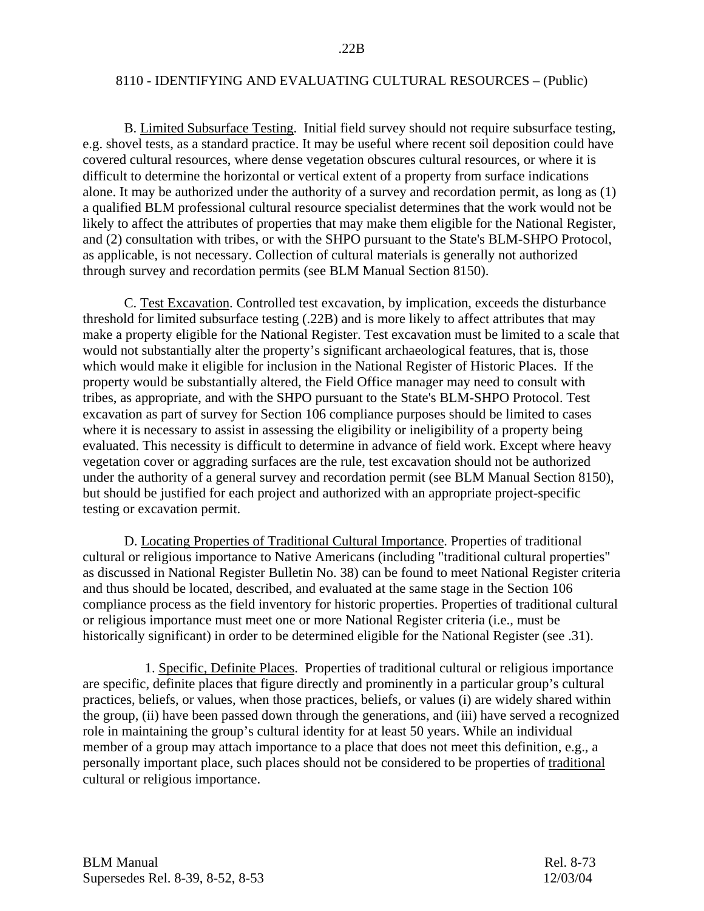B. Limited Subsurface Testing. Initial field survey should not require subsurface testing, e.g. shovel tests, as a standard practice. It may be useful where recent soil deposition could have covered cultural resources, where dense vegetation obscures cultural resources, or where it is difficult to determine the horizontal or vertical extent of a property from surface indications alone. It may be authorized under the authority of a survey and recordation permit, as long as (1) a qualified BLM professional cultural resource specialist determines that the work would not be likely to affect the attributes of properties that may make them eligible for the National Register, and (2) consultation with tribes, or with the SHPO pursuant to the State's BLM-SHPO Protocol, as applicable, is not necessary. Collection of cultural materials is generally not authorized through survey and recordation permits (see BLM Manual Section 8150).

 C. Test Excavation. Controlled test excavation, by implication, exceeds the disturbance threshold for limited subsurface testing (.22B) and is more likely to affect attributes that may make a property eligible for the National Register. Test excavation must be limited to a scale that would not substantially alter the property's significant archaeological features, that is, those which would make it eligible for inclusion in the National Register of Historic Places.If the property would be substantially altered, the Field Office manager may need to consult with tribes, as appropriate, and with the SHPO pursuant to the State's BLM-SHPO Protocol. Test excavation as part of survey for Section 106 compliance purposes should be limited to cases where it is necessary to assist in assessing the eligibility or ineligibility of a property being evaluated. This necessity is difficult to determine in advance of field work. Except where heavy vegetation cover or aggrading surfaces are the rule, test excavation should not be authorized under the authority of a general survey and recordation permit (see BLM Manual Section 8150), but should be justified for each project and authorized with an appropriate project-specific testing or excavation permit.

 D. Locating Properties of Traditional Cultural Importance. Properties of traditional cultural or religious importance to Native Americans (including "traditional cultural properties" as discussed in National Register Bulletin No. 38) can be found to meet National Register criteria and thus should be located, described, and evaluated at the same stage in the Section 106 compliance process as the field inventory for historic properties. Properties of traditional cultural or religious importance must meet one or more National Register criteria (i.e., must be historically significant) in order to be determined eligible for the National Register (see .31).

 1. Specific, Definite Places. Properties of traditional cultural or religious importance are specific, definite places that figure directly and prominently in a particular group's cultural practices, beliefs, or values, when those practices, beliefs, or values (i) are widely shared within the group, (ii) have been passed down through the generations, and (iii) have served a recognized role in maintaining the group's cultural identity for at least 50 years. While an individual member of a group may attach importance to a place that does not meet this definition, e.g., a personally important place, such places should not be considered to be properties of traditional cultural or religious importance.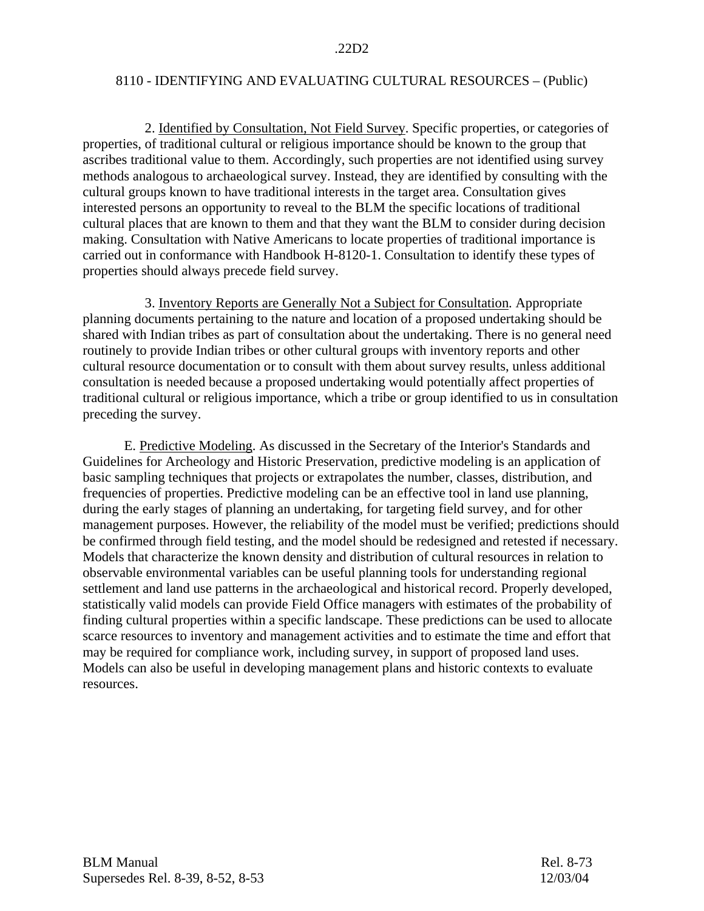2. Identified by Consultation, Not Field Survey. Specific properties, or categories of properties, of traditional cultural or religious importance should be known to the group that ascribes traditional value to them. Accordingly, such properties are not identified using survey methods analogous to archaeological survey. Instead, they are identified by consulting with the cultural groups known to have traditional interests in the target area. Consultation gives interested persons an opportunity to reveal to the BLM the specific locations of traditional cultural places that are known to them and that they want the BLM to consider during decision making. Consultation with Native Americans to locate properties of traditional importance is carried out in conformance with Handbook H-8120-1. Consultation to identify these types of properties should always precede field survey.

 3. Inventory Reports are Generally Not a Subject for Consultation. Appropriate planning documents pertaining to the nature and location of a proposed undertaking should be shared with Indian tribes as part of consultation about the undertaking. There is no general need routinely to provide Indian tribes or other cultural groups with inventory reports and other cultural resource documentation or to consult with them about survey results, unless additional consultation is needed because a proposed undertaking would potentially affect properties of traditional cultural or religious importance, which a tribe or group identified to us in consultation preceding the survey.

 E. Predictive Modeling. As discussed in the Secretary of the Interior's Standards and Guidelines for Archeology and Historic Preservation, predictive modeling is an application of basic sampling techniques that projects or extrapolates the number, classes, distribution, and frequencies of properties. Predictive modeling can be an effective tool in land use planning, during the early stages of planning an undertaking, for targeting field survey, and for other management purposes. However, the reliability of the model must be verified; predictions should be confirmed through field testing, and the model should be redesigned and retested if necessary. Models that characterize the known density and distribution of cultural resources in relation to observable environmental variables can be useful planning tools for understanding regional settlement and land use patterns in the archaeological and historical record. Properly developed, statistically valid models can provide Field Office managers with estimates of the probability of finding cultural properties within a specific landscape. These predictions can be used to allocate scarce resources to inventory and management activities and to estimate the time and effort that may be required for compliance work, including survey, in support of proposed land uses. Models can also be useful in developing management plans and historic contexts to evaluate resources.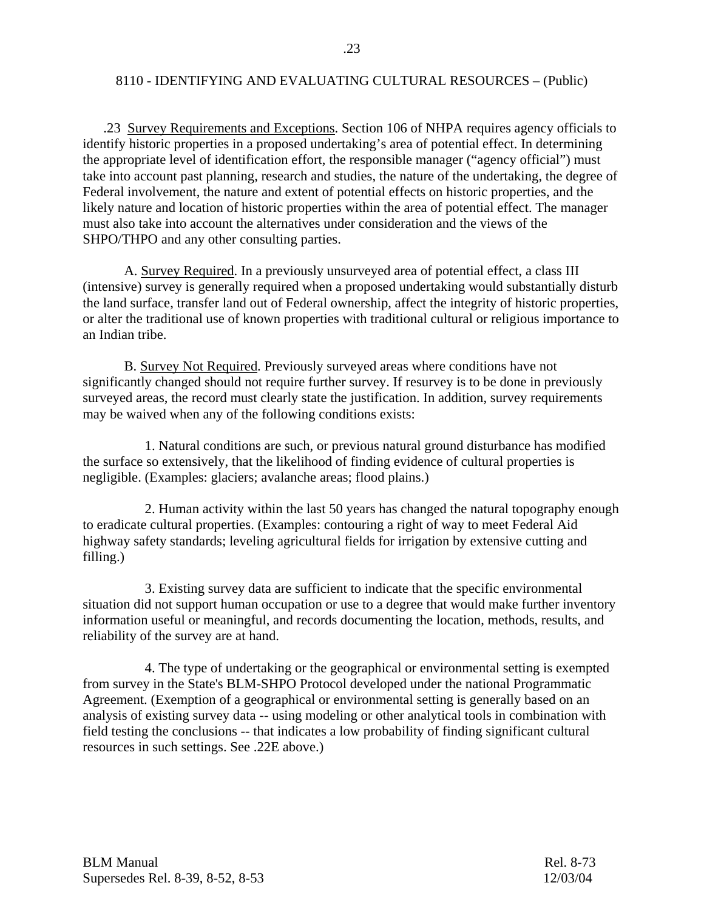.23 Survey Requirements and Exceptions. Section 106 of NHPA requires agency officials to identify historic properties in a proposed undertaking's area of potential effect. In determining the appropriate level of identification effort, the responsible manager ("agency official") must take into account past planning, research and studies, the nature of the undertaking, the degree of Federal involvement, the nature and extent of potential effects on historic properties, and the likely nature and location of historic properties within the area of potential effect. The manager must also take into account the alternatives under consideration and the views of the SHPO/THPO and any other consulting parties.

 A. Survey Required. In a previously unsurveyed area of potential effect, a class III (intensive) survey is generally required when a proposed undertaking would substantially disturb the land surface, transfer land out of Federal ownership, affect the integrity of historic properties, or alter the traditional use of known properties with traditional cultural or religious importance to an Indian tribe.

 B. Survey Not Required. Previously surveyed areas where conditions have not significantly changed should not require further survey. If resurvey is to be done in previously surveyed areas, the record must clearly state the justification. In addition, survey requirements may be waived when any of the following conditions exists:

 1. Natural conditions are such, or previous natural ground disturbance has modified the surface so extensively, that the likelihood of finding evidence of cultural properties is negligible. (Examples: glaciers; avalanche areas; flood plains.)

 2. Human activity within the last 50 years has changed the natural topography enough to eradicate cultural properties. (Examples: contouring a right of way to meet Federal Aid highway safety standards; leveling agricultural fields for irrigation by extensive cutting and filling.)

 3. Existing survey data are sufficient to indicate that the specific environmental situation did not support human occupation or use to a degree that would make further inventory information useful or meaningful, and records documenting the location, methods, results, and reliability of the survey are at hand.

 4. The type of undertaking or the geographical or environmental setting is exempted from survey in the State's BLM-SHPO Protocol developed under the national Programmatic Agreement. (Exemption of a geographical or environmental setting is generally based on an analysis of existing survey data -- using modeling or other analytical tools in combination with field testing the conclusions -- that indicates a low probability of finding significant cultural resources in such settings. See .22E above.)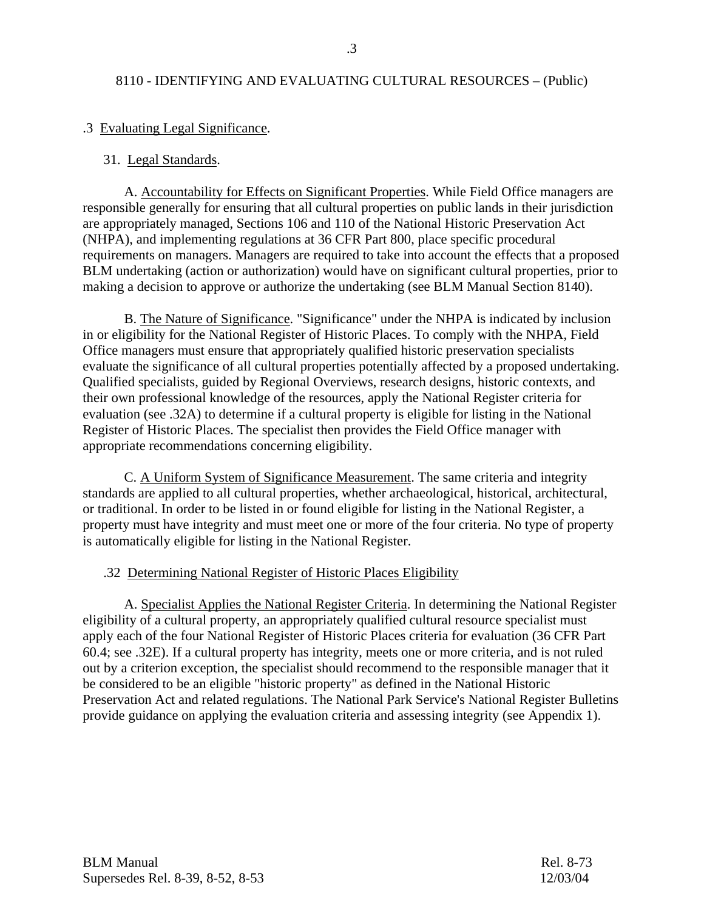## .3 Evaluating Legal Significance.

#### 31. Legal Standards.

 A. Accountability for Effects on Significant Properties. While Field Office managers are responsible generally for ensuring that all cultural properties on public lands in their jurisdiction are appropriately managed, Sections 106 and 110 of the National Historic Preservation Act (NHPA), and implementing regulations at 36 CFR Part 800, place specific procedural requirements on managers. Managers are required to take into account the effects that a proposed BLM undertaking (action or authorization) would have on significant cultural properties, prior to making a decision to approve or authorize the undertaking (see BLM Manual Section 8140).

 B. The Nature of Significance. "Significance" under the NHPA is indicated by inclusion in or eligibility for the National Register of Historic Places. To comply with the NHPA, Field Office managers must ensure that appropriately qualified historic preservation specialists evaluate the significance of all cultural properties potentially affected by a proposed undertaking. Qualified specialists, guided by Regional Overviews, research designs, historic contexts, and their own professional knowledge of the resources, apply the National Register criteria for evaluation (see .32A) to determine if a cultural property is eligible for listing in the National Register of Historic Places. The specialist then provides the Field Office manager with appropriate recommendations concerning eligibility.

 C. A Uniform System of Significance Measurement. The same criteria and integrity standards are applied to all cultural properties, whether archaeological, historical, architectural, or traditional. In order to be listed in or found eligible for listing in the National Register, a property must have integrity and must meet one or more of the four criteria. No type of property is automatically eligible for listing in the National Register.

## .32 Determining National Register of Historic Places Eligibility

 A. Specialist Applies the National Register Criteria. In determining the National Register eligibility of a cultural property, an appropriately qualified cultural resource specialist must apply each of the four National Register of Historic Places criteria for evaluation (36 CFR Part 60.4; see .32E). If a cultural property has integrity, meets one or more criteria, and is not ruled out by a criterion exception, the specialist should recommend to the responsible manager that it be considered to be an eligible "historic property" as defined in the National Historic Preservation Act and related regulations. The National Park Service's National Register Bulletins provide guidance on applying the evaluation criteria and assessing integrity (see Appendix 1).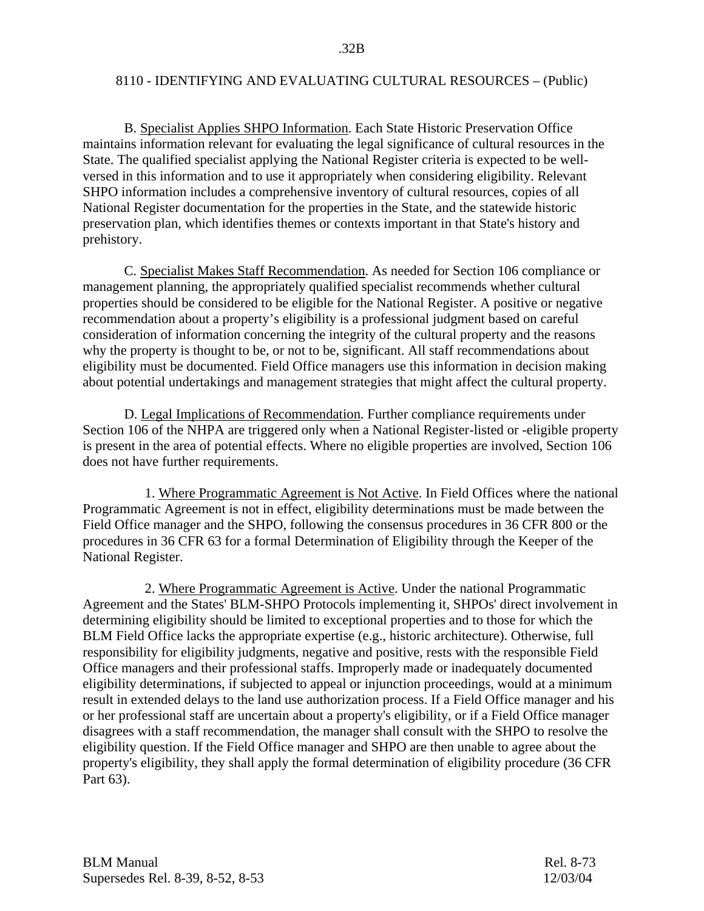B. Specialist Applies SHPO Information. Each State Historic Preservation Office maintains information relevant for evaluating the legal significance of cultural resources in the State. The qualified specialist applying the National Register criteria is expected to be wellversed in this information and to use it appropriately when considering eligibility. Relevant SHPO information includes a comprehensive inventory of cultural resources, copies of all National Register documentation for the properties in the State, and the statewide historic preservation plan, which identifies themes or contexts important in that State's history and prehistory.

 C. Specialist Makes Staff Recommendation. As needed for Section 106 compliance or management planning, the appropriately qualified specialist recommends whether cultural properties should be considered to be eligible for the National Register. A positive or negative recommendation about a property's eligibility is a professional judgment based on careful consideration of information concerning the integrity of the cultural property and the reasons why the property is thought to be, or not to be, significant. All staff recommendations about eligibility must be documented. Field Office managers use this information in decision making about potential undertakings and management strategies that might affect the cultural property.

 D. Legal Implications of Recommendation. Further compliance requirements under Section 106 of the NHPA are triggered only when a National Register-listed or -eligible property is present in the area of potential effects. Where no eligible properties are involved, Section 106 does not have further requirements.

 1. Where Programmatic Agreement is Not Active. In Field Offices where the national Programmatic Agreement is not in effect, eligibility determinations must be made between the Field Office manager and the SHPO, following the consensus procedures in 36 CFR 800 or the procedures in 36 CFR 63 for a formal Determination of Eligibility through the Keeper of the National Register.

 2. Where Programmatic Agreement is Active. Under the national Programmatic Agreement and the States' BLM-SHPO Protocols implementing it, SHPOs' direct involvement in determining eligibility should be limited to exceptional properties and to those for which the BLM Field Office lacks the appropriate expertise (e.g., historic architecture). Otherwise, full responsibility for eligibility judgments, negative and positive, rests with the responsible Field Office managers and their professional staffs. Improperly made or inadequately documented eligibility determinations, if subjected to appeal or injunction proceedings, would at a minimum result in extended delays to the land use authorization process. If a Field Office manager and his or her professional staff are uncertain about a property's eligibility, or if a Field Office manager disagrees with a staff recommendation, the manager shall consult with the SHPO to resolve the eligibility question. If the Field Office manager and SHPO are then unable to agree about the property's eligibility, they shall apply the formal determination of eligibility procedure (36 CFR Part 63).

| <b>BLM Manual</b>                | Rel. 8-73 |
|----------------------------------|-----------|
| Supersedes Rel. 8-39, 8-52, 8-53 | 12/03/04  |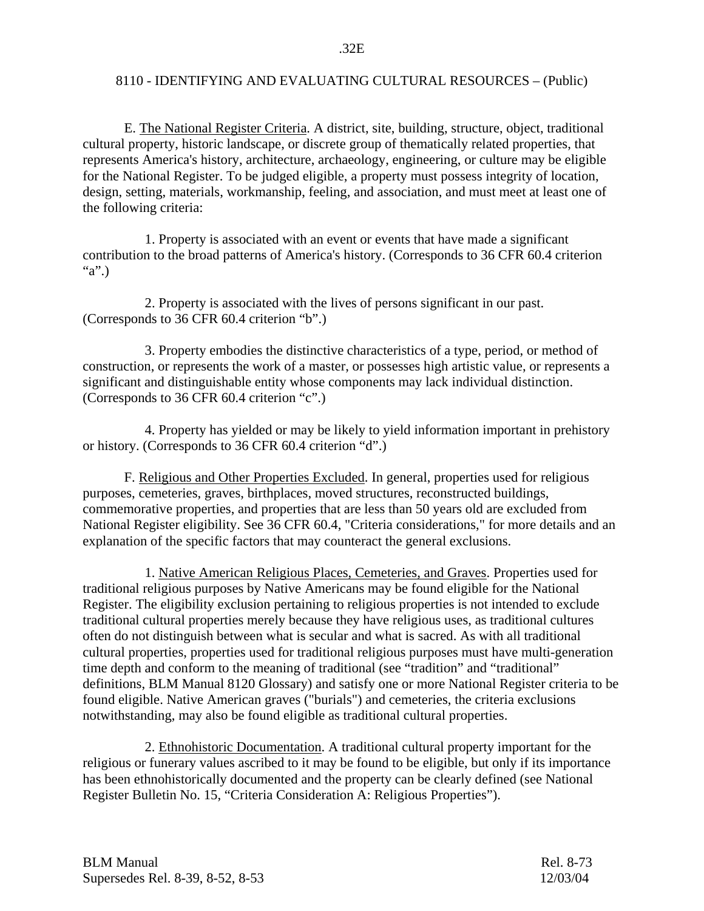E. The National Register Criteria. A district, site, building, structure, object, traditional cultural property, historic landscape, or discrete group of thematically related properties, that represents America's history, architecture, archaeology, engineering, or culture may be eligible for the National Register. To be judged eligible, a property must possess integrity of location, design, setting, materials, workmanship, feeling, and association, and must meet at least one of the following criteria:

 1. Property is associated with an event or events that have made a significant contribution to the broad patterns of America's history. (Corresponds to 36 CFR 60.4 criterion "a".)

 2. Property is associated with the lives of persons significant in our past. (Corresponds to 36 CFR 60.4 criterion "b".)

 3. Property embodies the distinctive characteristics of a type, period, or method of construction, or represents the work of a master, or possesses high artistic value, or represents a significant and distinguishable entity whose components may lack individual distinction. (Corresponds to 36 CFR 60.4 criterion "c".)

 4. Property has yielded or may be likely to yield information important in prehistory or history. (Corresponds to 36 CFR 60.4 criterion "d".)

 F. Religious and Other Properties Excluded. In general, properties used for religious purposes, cemeteries, graves, birthplaces, moved structures, reconstructed buildings, commemorative properties, and properties that are less than 50 years old are excluded from National Register eligibility. See 36 CFR 60.4, "Criteria considerations," for more details and an explanation of the specific factors that may counteract the general exclusions.

 1. Native American Religious Places, Cemeteries, and Graves. Properties used for traditional religious purposes by Native Americans may be found eligible for the National Register. The eligibility exclusion pertaining to religious properties is not intended to exclude traditional cultural properties merely because they have religious uses, as traditional cultures often do not distinguish between what is secular and what is sacred. As with all traditional cultural properties, properties used for traditional religious purposes must have multi-generation time depth and conform to the meaning of traditional (see "tradition" and "traditional" definitions, BLM Manual 8120 Glossary) and satisfy one or more National Register criteria to be found eligible. Native American graves ("burials") and cemeteries, the criteria exclusions notwithstanding, may also be found eligible as traditional cultural properties.

 2. Ethnohistoric Documentation. A traditional cultural property important for the religious or funerary values ascribed to it may be found to be eligible, but only if its importance has been ethnohistorically documented and the property can be clearly defined (see National Register Bulletin No. 15, "Criteria Consideration A: Religious Properties").

| <b>BLM Manual</b>                | Rel. 8-73 |
|----------------------------------|-----------|
| Supersedes Rel. 8-39, 8-52, 8-53 | 12/03/04  |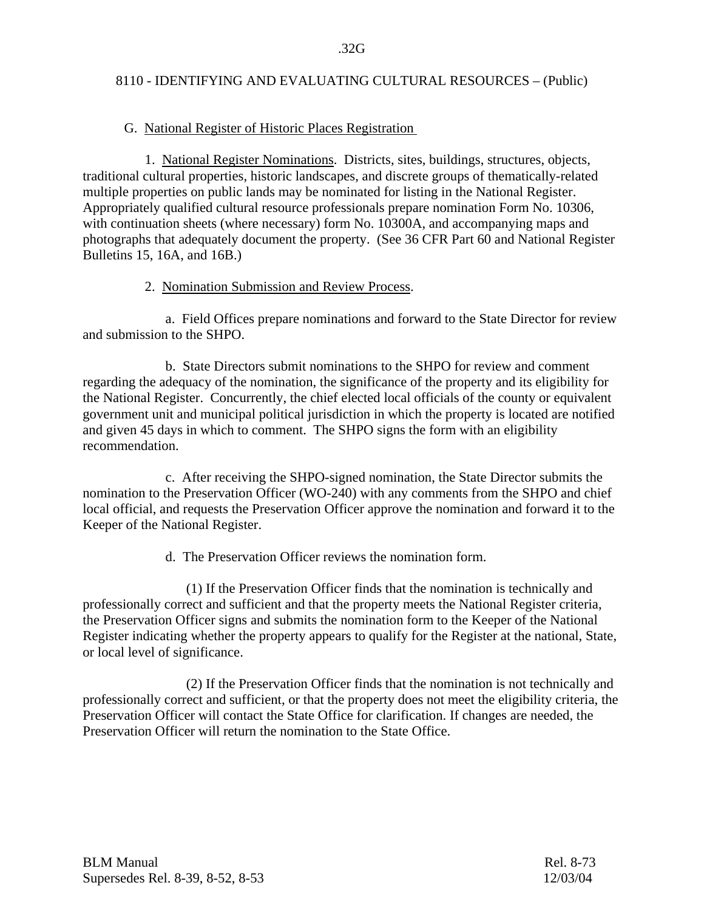## G. National Register of Historic Places Registration

 1. National Register Nominations. Districts, sites, buildings, structures, objects, traditional cultural properties, historic landscapes, and discrete groups of thematically-related multiple properties on public lands may be nominated for listing in the National Register. Appropriately qualified cultural resource professionals prepare nomination Form No. 10306, with continuation sheets (where necessary) form No. 10300A, and accompanying maps and photographs that adequately document the property. (See 36 CFR Part 60 and National Register Bulletins 15, 16A, and 16B.)

## 2. Nomination Submission and Review Process.

 a. Field Offices prepare nominations and forward to the State Director for review and submission to the SHPO.

 b. State Directors submit nominations to the SHPO for review and comment regarding the adequacy of the nomination, the significance of the property and its eligibility for the National Register. Concurrently, the chief elected local officials of the county or equivalent government unit and municipal political jurisdiction in which the property is located are notified and given 45 days in which to comment. The SHPO signs the form with an eligibility recommendation.

 c. After receiving the SHPO-signed nomination, the State Director submits the nomination to the Preservation Officer (WO-240) with any comments from the SHPO and chief local official, and requests the Preservation Officer approve the nomination and forward it to the Keeper of the National Register.

d. The Preservation Officer reviews the nomination form.

 (1) If the Preservation Officer finds that the nomination is technically and professionally correct and sufficient and that the property meets the National Register criteria, the Preservation Officer signs and submits the nomination form to the Keeper of the National Register indicating whether the property appears to qualify for the Register at the national, State, or local level of significance.

 (2) If the Preservation Officer finds that the nomination is not technically and professionally correct and sufficient, or that the property does not meet the eligibility criteria, the Preservation Officer will contact the State Office for clarification. If changes are needed, the Preservation Officer will return the nomination to the State Office.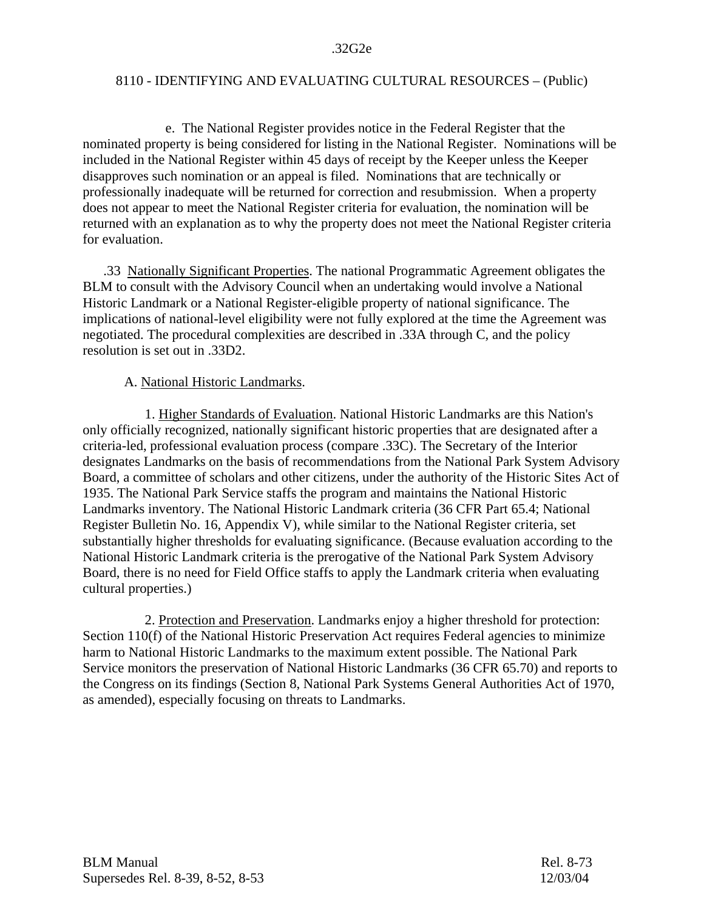e. The National Register provides notice in the Federal Register that the nominated property is being considered for listing in the National Register. Nominations will be included in the National Register within 45 days of receipt by the Keeper unless the Keeper disapproves such nomination or an appeal is filed. Nominations that are technically or professionally inadequate will be returned for correction and resubmission. When a property does not appear to meet the National Register criteria for evaluation, the nomination will be returned with an explanation as to why the property does not meet the National Register criteria for evaluation.

 .33 Nationally Significant Properties. The national Programmatic Agreement obligates the BLM to consult with the Advisory Council when an undertaking would involve a National Historic Landmark or a National Register-eligible property of national significance. The implications of national-level eligibility were not fully explored at the time the Agreement was negotiated. The procedural complexities are described in .33A through C, and the policy resolution is set out in .33D2.

## A. National Historic Landmarks.

 1. Higher Standards of Evaluation. National Historic Landmarks are this Nation's only officially recognized, nationally significant historic properties that are designated after a criteria-led, professional evaluation process (compare .33C). The Secretary of the Interior designates Landmarks on the basis of recommendations from the National Park System Advisory Board, a committee of scholars and other citizens, under the authority of the Historic Sites Act of 1935. The National Park Service staffs the program and maintains the National Historic Landmarks inventory. The National Historic Landmark criteria (36 CFR Part 65.4; National Register Bulletin No. 16, Appendix V), while similar to the National Register criteria, set substantially higher thresholds for evaluating significance. (Because evaluation according to the National Historic Landmark criteria is the prerogative of the National Park System Advisory Board, there is no need for Field Office staffs to apply the Landmark criteria when evaluating cultural properties.)

 2. Protection and Preservation. Landmarks enjoy a higher threshold for protection: Section 110(f) of the National Historic Preservation Act requires Federal agencies to minimize harm to National Historic Landmarks to the maximum extent possible. The National Park Service monitors the preservation of National Historic Landmarks (36 CFR 65.70) and reports to the Congress on its findings (Section 8, National Park Systems General Authorities Act of 1970, as amended), especially focusing on threats to Landmarks.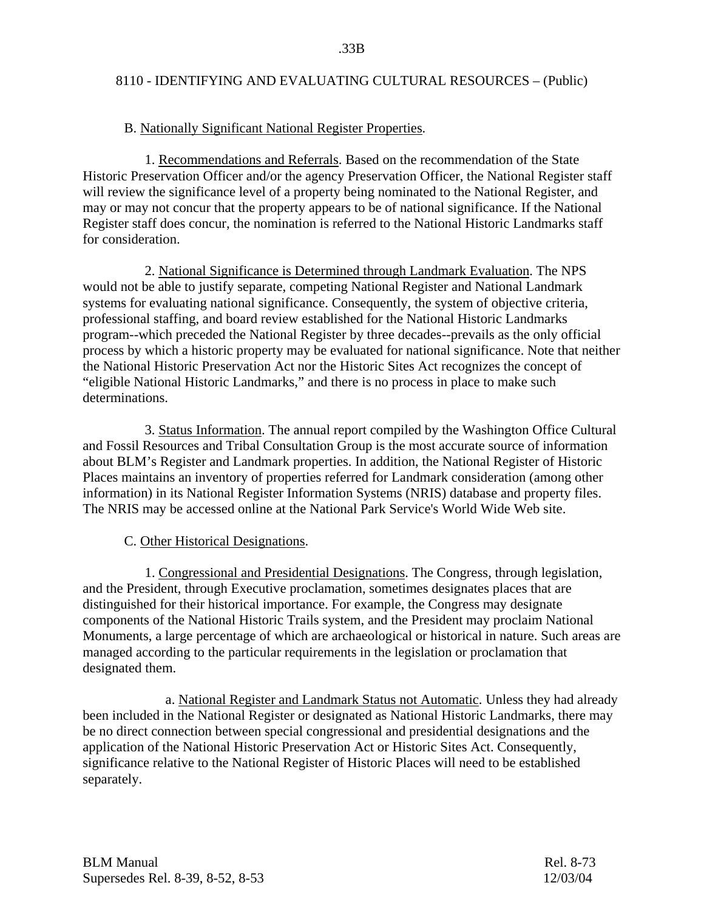## B. Nationally Significant National Register Properties.

 1. Recommendations and Referrals. Based on the recommendation of the State Historic Preservation Officer and/or the agency Preservation Officer, the National Register staff will review the significance level of a property being nominated to the National Register, and may or may not concur that the property appears to be of national significance. If the National Register staff does concur, the nomination is referred to the National Historic Landmarks staff for consideration.

 2. National Significance is Determined through Landmark Evaluation. The NPS would not be able to justify separate, competing National Register and National Landmark systems for evaluating national significance. Consequently, the system of objective criteria, professional staffing, and board review established for the National Historic Landmarks program--which preceded the National Register by three decades--prevails as the only official process by which a historic property may be evaluated for national significance. Note that neither the National Historic Preservation Act nor the Historic Sites Act recognizes the concept of "eligible National Historic Landmarks," and there is no process in place to make such determinations.

 3. Status Information. The annual report compiled by the Washington Office Cultural and Fossil Resources and Tribal Consultation Group is the most accurate source of information about BLM's Register and Landmark properties. In addition, the National Register of Historic Places maintains an inventory of properties referred for Landmark consideration (among other information) in its National Register Information Systems (NRIS) database and property files. The NRIS may be accessed online at the National Park Service's World Wide Web site.

## C. Other Historical Designations.

 1. Congressional and Presidential Designations. The Congress, through legislation, and the President, through Executive proclamation, sometimes designates places that are distinguished for their historical importance. For example, the Congress may designate components of the National Historic Trails system, and the President may proclaim National Monuments, a large percentage of which are archaeological or historical in nature. Such areas are managed according to the particular requirements in the legislation or proclamation that designated them.

 a. National Register and Landmark Status not Automatic. Unless they had already been included in the National Register or designated as National Historic Landmarks, there may be no direct connection between special congressional and presidential designations and the application of the National Historic Preservation Act or Historic Sites Act. Consequently, significance relative to the National Register of Historic Places will need to be established separately.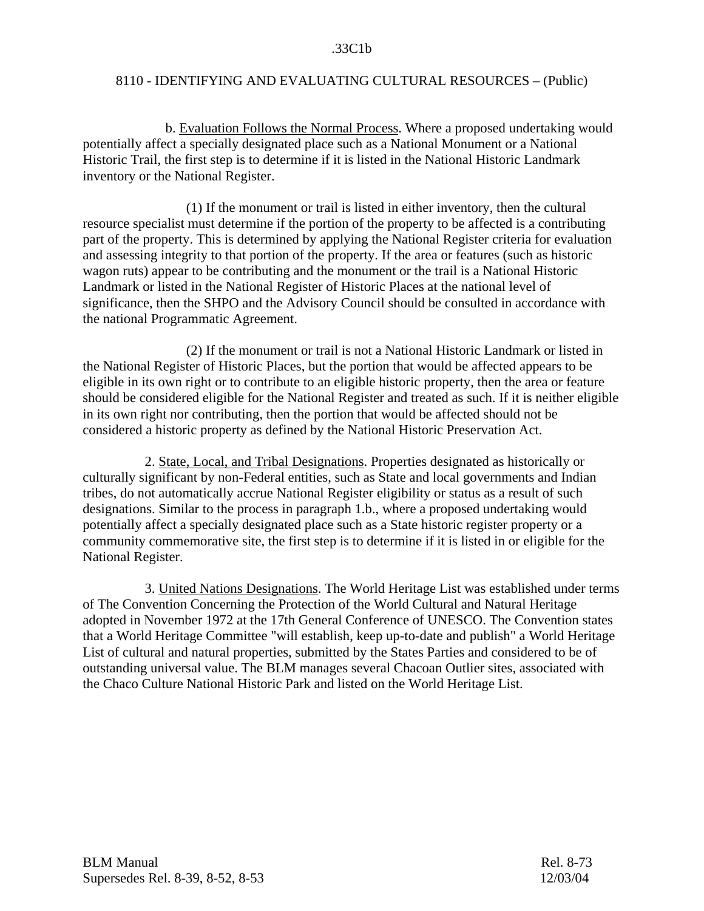b. Evaluation Follows the Normal Process. Where a proposed undertaking would potentially affect a specially designated place such as a National Monument or a National Historic Trail, the first step is to determine if it is listed in the National Historic Landmark inventory or the National Register.

 (1) If the monument or trail is listed in either inventory, then the cultural resource specialist must determine if the portion of the property to be affected is a contributing part of the property. This is determined by applying the National Register criteria for evaluation and assessing integrity to that portion of the property. If the area or features (such as historic wagon ruts) appear to be contributing and the monument or the trail is a National Historic Landmark or listed in the National Register of Historic Places at the national level of significance, then the SHPO and the Advisory Council should be consulted in accordance with the national Programmatic Agreement.

 (2) If the monument or trail is not a National Historic Landmark or listed in the National Register of Historic Places, but the portion that would be affected appears to be eligible in its own right or to contribute to an eligible historic property, then the area or feature should be considered eligible for the National Register and treated as such. If it is neither eligible in its own right nor contributing, then the portion that would be affected should not be considered a historic property as defined by the National Historic Preservation Act.

 2. State, Local, and Tribal Designations. Properties designated as historically or culturally significant by non-Federal entities, such as State and local governments and Indian tribes, do not automatically accrue National Register eligibility or status as a result of such designations. Similar to the process in paragraph 1.b., where a proposed undertaking would potentially affect a specially designated place such as a State historic register property or a community commemorative site, the first step is to determine if it is listed in or eligible for the National Register.

 3. United Nations Designations. The World Heritage List was established under terms of The Convention Concerning the Protection of the World Cultural and Natural Heritage adopted in November 1972 at the 17th General Conference of UNESCO. The Convention states that a World Heritage Committee "will establish, keep up-to-date and publish" a World Heritage List of cultural and natural properties, submitted by the States Parties and considered to be of outstanding universal value. The BLM manages several Chacoan Outlier sites, associated with the Chaco Culture National Historic Park and listed on the World Heritage List.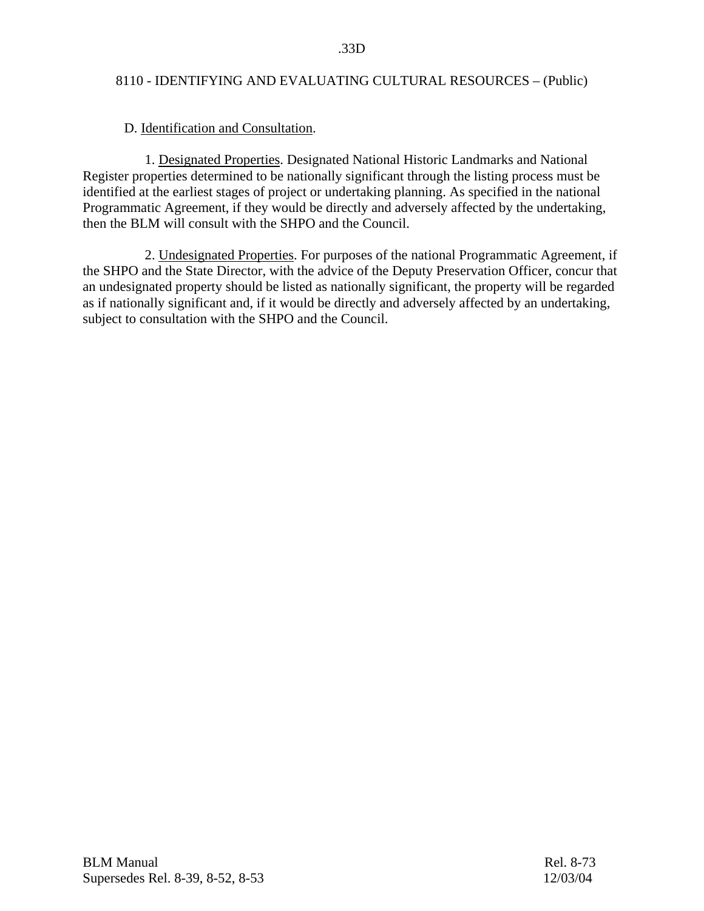## D. Identification and Consultation.

 1. Designated Properties. Designated National Historic Landmarks and National Register properties determined to be nationally significant through the listing process must be identified at the earliest stages of project or undertaking planning. As specified in the national Programmatic Agreement, if they would be directly and adversely affected by the undertaking, then the BLM will consult with the SHPO and the Council.

 2. Undesignated Properties. For purposes of the national Programmatic Agreement, if the SHPO and the State Director, with the advice of the Deputy Preservation Officer, concur that an undesignated property should be listed as nationally significant, the property will be regarded as if nationally significant and, if it would be directly and adversely affected by an undertaking, subject to consultation with the SHPO and the Council.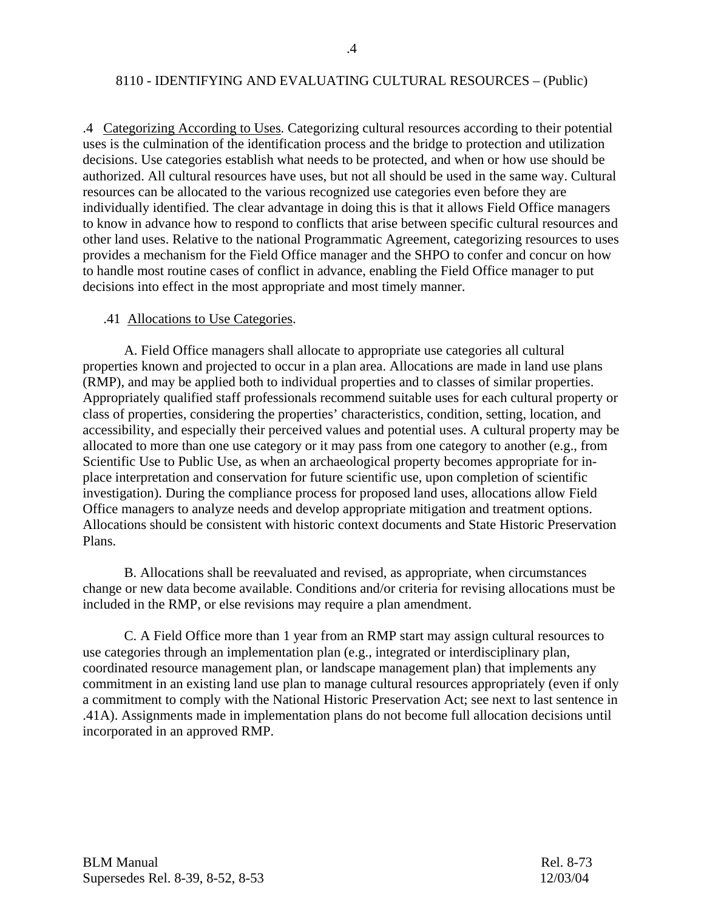.4 Categorizing According to Uses. Categorizing cultural resources according to their potential uses is the culmination of the identification process and the bridge to protection and utilization decisions. Use categories establish what needs to be protected, and when or how use should be authorized. All cultural resources have uses, but not all should be used in the same way. Cultural resources can be allocated to the various recognized use categories even before they are individually identified. The clear advantage in doing this is that it allows Field Office managers to know in advance how to respond to conflicts that arise between specific cultural resources and other land uses. Relative to the national Programmatic Agreement, categorizing resources to uses provides a mechanism for the Field Office manager and the SHPO to confer and concur on how to handle most routine cases of conflict in advance, enabling the Field Office manager to put decisions into effect in the most appropriate and most timely manner.

## .41 Allocations to Use Categories.

 A. Field Office managers shall allocate to appropriate use categories all cultural properties known and projected to occur in a plan area. Allocations are made in land use plans (RMP), and may be applied both to individual properties and to classes of similar properties. Appropriately qualified staff professionals recommend suitable uses for each cultural property or class of properties, considering the properties' characteristics, condition, setting, location, and accessibility, and especially their perceived values and potential uses. A cultural property may be allocated to more than one use category or it may pass from one category to another (e.g., from Scientific Use to Public Use, as when an archaeological property becomes appropriate for inplace interpretation and conservation for future scientific use, upon completion of scientific investigation). During the compliance process for proposed land uses, allocations allow Field Office managers to analyze needs and develop appropriate mitigation and treatment options. Allocations should be consistent with historic context documents and State Historic Preservation Plans.

 B. Allocations shall be reevaluated and revised, as appropriate, when circumstances change or new data become available. Conditions and/or criteria for revising allocations must be included in the RMP, or else revisions may require a plan amendment.

 C. A Field Office more than 1 year from an RMP start may assign cultural resources to use categories through an implementation plan (e.g., integrated or interdisciplinary plan, coordinated resource management plan, or landscape management plan) that implements any commitment in an existing land use plan to manage cultural resources appropriately (even if only a commitment to comply with the National Historic Preservation Act; see next to last sentence in .41A). Assignments made in implementation plans do not become full allocation decisions until incorporated in an approved RMP.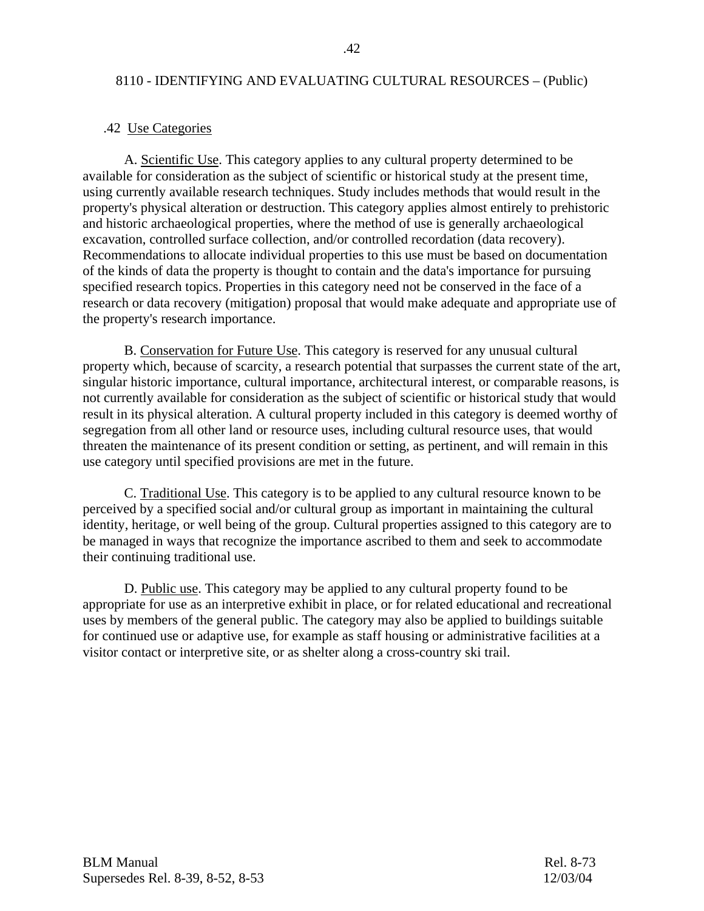#### .42 Use Categories

 A. Scientific Use. This category applies to any cultural property determined to be available for consideration as the subject of scientific or historical study at the present time, using currently available research techniques. Study includes methods that would result in the property's physical alteration or destruction. This category applies almost entirely to prehistoric and historic archaeological properties, where the method of use is generally archaeological excavation, controlled surface collection, and/or controlled recordation (data recovery). Recommendations to allocate individual properties to this use must be based on documentation of the kinds of data the property is thought to contain and the data's importance for pursuing specified research topics. Properties in this category need not be conserved in the face of a research or data recovery (mitigation) proposal that would make adequate and appropriate use of the property's research importance.

 B. Conservation for Future Use. This category is reserved for any unusual cultural property which, because of scarcity, a research potential that surpasses the current state of the art, singular historic importance, cultural importance, architectural interest, or comparable reasons, is not currently available for consideration as the subject of scientific or historical study that would result in its physical alteration. A cultural property included in this category is deemed worthy of segregation from all other land or resource uses, including cultural resource uses, that would threaten the maintenance of its present condition or setting, as pertinent, and will remain in this use category until specified provisions are met in the future.

 C. Traditional Use. This category is to be applied to any cultural resource known to be perceived by a specified social and/or cultural group as important in maintaining the cultural identity, heritage, or well being of the group. Cultural properties assigned to this category are to be managed in ways that recognize the importance ascribed to them and seek to accommodate their continuing traditional use.

 D. Public use. This category may be applied to any cultural property found to be appropriate for use as an interpretive exhibit in place, or for related educational and recreational uses by members of the general public. The category may also be applied to buildings suitable for continued use or adaptive use, for example as staff housing or administrative facilities at a visitor contact or interpretive site, or as shelter along a cross-country ski trail.

BLM Manual Rel. 8-73 Supersedes Rel. 8-39, 8-52, 8-53 12/03/04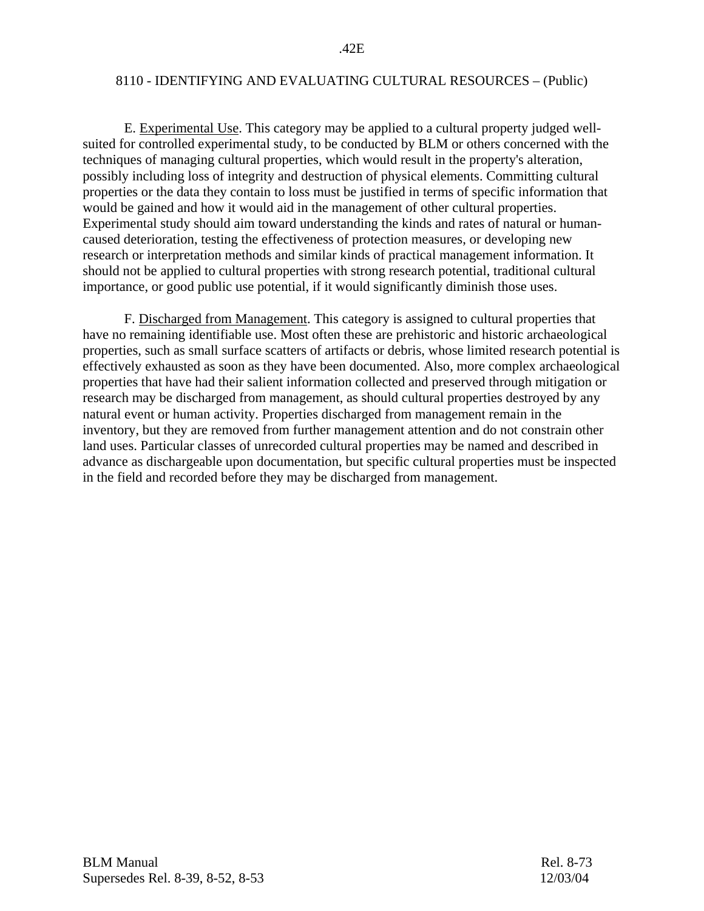E. Experimental Use. This category may be applied to a cultural property judged wellsuited for controlled experimental study, to be conducted by BLM or others concerned with the techniques of managing cultural properties, which would result in the property's alteration, possibly including loss of integrity and destruction of physical elements. Committing cultural properties or the data they contain to loss must be justified in terms of specific information that would be gained and how it would aid in the management of other cultural properties. Experimental study should aim toward understanding the kinds and rates of natural or humancaused deterioration, testing the effectiveness of protection measures, or developing new research or interpretation methods and similar kinds of practical management information. It should not be applied to cultural properties with strong research potential, traditional cultural importance, or good public use potential, if it would significantly diminish those uses.

 F. Discharged from Management. This category is assigned to cultural properties that have no remaining identifiable use. Most often these are prehistoric and historic archaeological properties, such as small surface scatters of artifacts or debris, whose limited research potential is effectively exhausted as soon as they have been documented. Also, more complex archaeological properties that have had their salient information collected and preserved through mitigation or research may be discharged from management, as should cultural properties destroyed by any natural event or human activity. Properties discharged from management remain in the inventory, but they are removed from further management attention and do not constrain other land uses. Particular classes of unrecorded cultural properties may be named and described in advance as dischargeable upon documentation, but specific cultural properties must be inspected in the field and recorded before they may be discharged from management.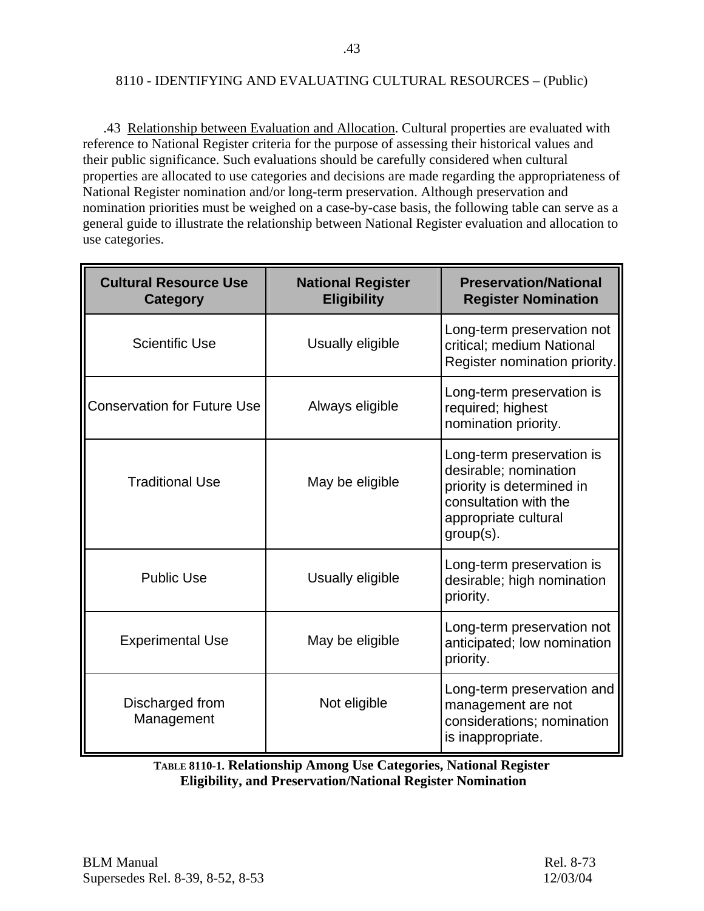.43 Relationship between Evaluation and Allocation. Cultural properties are evaluated with reference to National Register criteria for the purpose of assessing their historical values and their public significance. Such evaluations should be carefully considered when cultural properties are allocated to use categories and decisions are made regarding the appropriateness of National Register nomination and/or long-term preservation. Although preservation and nomination priorities must be weighed on a case-by-case basis, the following table can serve as a general guide to illustrate the relationship between National Register evaluation and allocation to use categories.

| <b>Cultural Resource Use</b><br>Category | <b>National Register</b><br><b>Eligibility</b> | <b>Preservation/National</b><br><b>Register Nomination</b>                                                                                    |
|------------------------------------------|------------------------------------------------|-----------------------------------------------------------------------------------------------------------------------------------------------|
| <b>Scientific Use</b>                    | Usually eligible                               | Long-term preservation not<br>critical; medium National<br>Register nomination priority.                                                      |
| <b>Conservation for Future Use</b>       | Always eligible                                | Long-term preservation is<br>required; highest<br>nomination priority.                                                                        |
| <b>Traditional Use</b>                   | May be eligible                                | Long-term preservation is<br>desirable; nomination<br>priority is determined in<br>consultation with the<br>appropriate cultural<br>group(s). |
| <b>Public Use</b>                        | Usually eligible                               | Long-term preservation is<br>desirable; high nomination<br>priority.                                                                          |
| <b>Experimental Use</b>                  | May be eligible                                | Long-term preservation not<br>anticipated; low nomination<br>priority.                                                                        |
| Discharged from<br>Management            | Not eligible                                   | Long-term preservation and<br>management are not<br>considerations; nomination<br>is inappropriate.                                           |

**TABLE 8110-1. Relationship Among Use Categories, National Register Eligibility, and Preservation/National Register Nomination**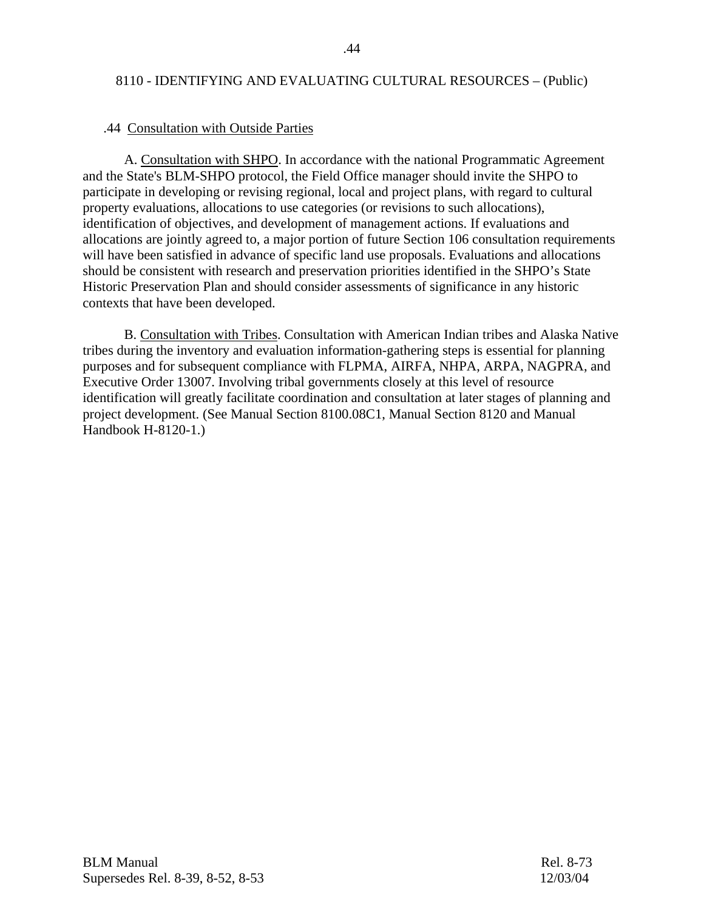#### .44 Consultation with Outside Parties

 A. Consultation with SHPO. In accordance with the national Programmatic Agreement and the State's BLM-SHPO protocol, the Field Office manager should invite the SHPO to participate in developing or revising regional, local and project plans, with regard to cultural property evaluations, allocations to use categories (or revisions to such allocations), identification of objectives, and development of management actions. If evaluations and allocations are jointly agreed to, a major portion of future Section 106 consultation requirements will have been satisfied in advance of specific land use proposals. Evaluations and allocations should be consistent with research and preservation priorities identified in the SHPO's State Historic Preservation Plan and should consider assessments of significance in any historic contexts that have been developed.

 B. Consultation with Tribes. Consultation with American Indian tribes and Alaska Native tribes during the inventory and evaluation information-gathering steps is essential for planning purposes and for subsequent compliance with FLPMA, AIRFA, NHPA, ARPA, NAGPRA, and Executive Order 13007. Involving tribal governments closely at this level of resource identification will greatly facilitate coordination and consultation at later stages of planning and project development. (See Manual Section 8100.08C1, Manual Section 8120 and Manual Handbook H-8120-1.)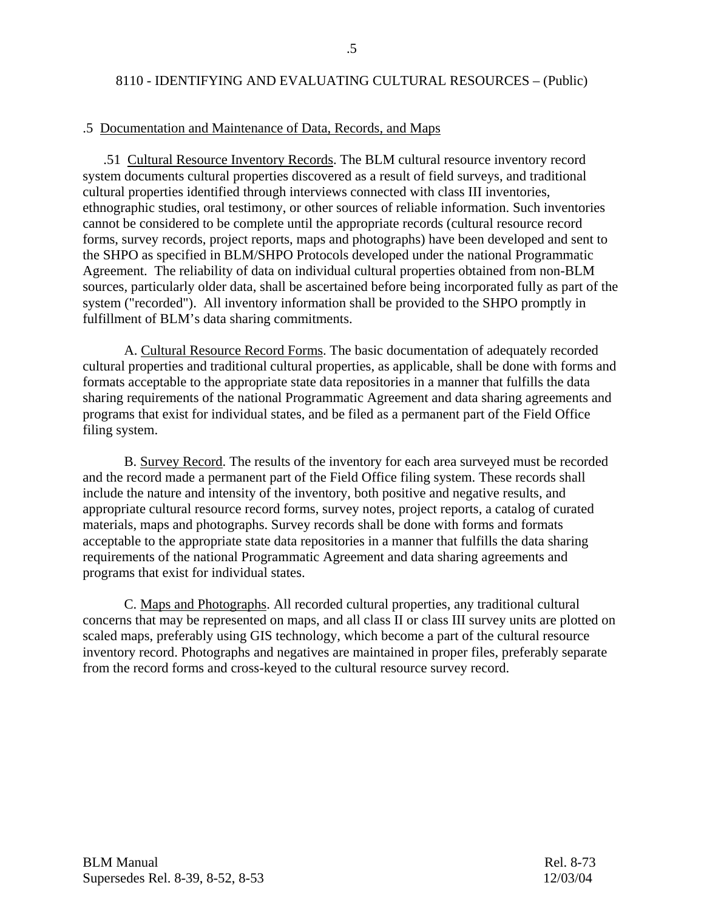#### .5 Documentation and Maintenance of Data, Records, and Maps

 .51 Cultural Resource Inventory Records. The BLM cultural resource inventory record system documents cultural properties discovered as a result of field surveys, and traditional cultural properties identified through interviews connected with class III inventories, ethnographic studies, oral testimony, or other sources of reliable information. Such inventories cannot be considered to be complete until the appropriate records (cultural resource record forms, survey records, project reports, maps and photographs) have been developed and sent to the SHPO as specified in BLM/SHPO Protocols developed under the national Programmatic Agreement. The reliability of data on individual cultural properties obtained from non-BLM sources, particularly older data, shall be ascertained before being incorporated fully as part of the system ("recorded"). All inventory information shall be provided to the SHPO promptly in fulfillment of BLM's data sharing commitments.

 A. Cultural Resource Record Forms. The basic documentation of adequately recorded cultural properties and traditional cultural properties, as applicable, shall be done with forms and formats acceptable to the appropriate state data repositories in a manner that fulfills the data sharing requirements of the national Programmatic Agreement and data sharing agreements and programs that exist for individual states, and be filed as a permanent part of the Field Office filing system.

 B. Survey Record. The results of the inventory for each area surveyed must be recorded and the record made a permanent part of the Field Office filing system. These records shall include the nature and intensity of the inventory, both positive and negative results, and appropriate cultural resource record forms, survey notes, project reports, a catalog of curated materials, maps and photographs. Survey records shall be done with forms and formats acceptable to the appropriate state data repositories in a manner that fulfills the data sharing requirements of the national Programmatic Agreement and data sharing agreements and programs that exist for individual states.

 C. Maps and Photographs. All recorded cultural properties, any traditional cultural concerns that may be represented on maps, and all class II or class III survey units are plotted on scaled maps, preferably using GIS technology, which become a part of the cultural resource inventory record. Photographs and negatives are maintained in proper files, preferably separate from the record forms and cross-keyed to the cultural resource survey record.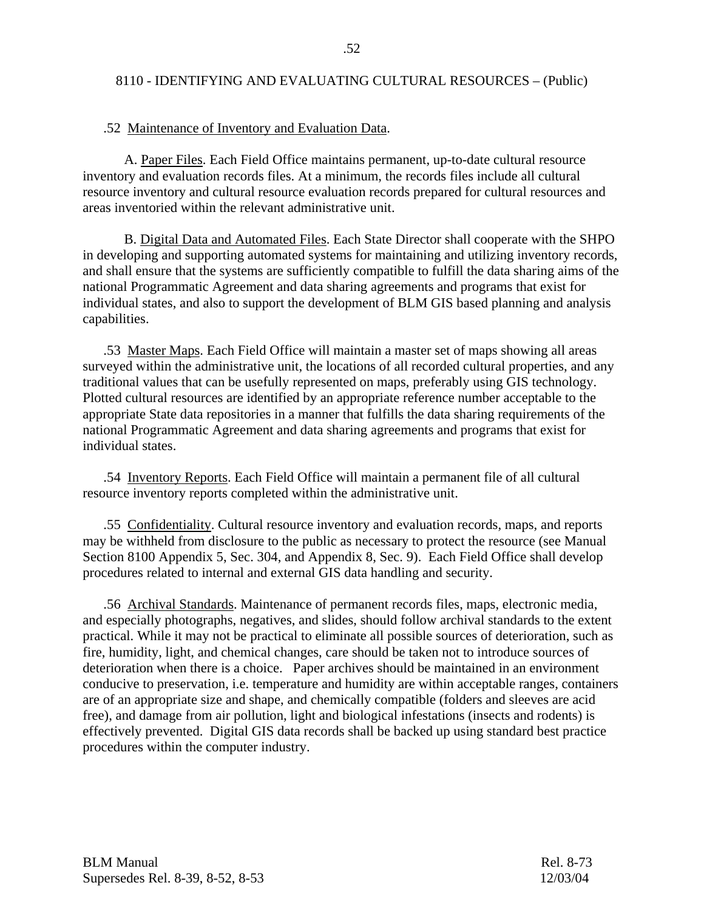#### .52 Maintenance of Inventory and Evaluation Data.

 A. Paper Files. Each Field Office maintains permanent, up-to-date cultural resource inventory and evaluation records files. At a minimum, the records files include all cultural resource inventory and cultural resource evaluation records prepared for cultural resources and areas inventoried within the relevant administrative unit.

 B. Digital Data and Automated Files. Each State Director shall cooperate with the SHPO in developing and supporting automated systems for maintaining and utilizing inventory records, and shall ensure that the systems are sufficiently compatible to fulfill the data sharing aims of the national Programmatic Agreement and data sharing agreements and programs that exist for individual states, and also to support the development of BLM GIS based planning and analysis capabilities.

 .53 Master Maps. Each Field Office will maintain a master set of maps showing all areas surveyed within the administrative unit, the locations of all recorded cultural properties, and any traditional values that can be usefully represented on maps, preferably using GIS technology. Plotted cultural resources are identified by an appropriate reference number acceptable to the appropriate State data repositories in a manner that fulfills the data sharing requirements of the national Programmatic Agreement and data sharing agreements and programs that exist for individual states.

 .54 Inventory Reports. Each Field Office will maintain a permanent file of all cultural resource inventory reports completed within the administrative unit.

 .55 Confidentiality. Cultural resource inventory and evaluation records, maps, and reports may be withheld from disclosure to the public as necessary to protect the resource (see Manual Section 8100 Appendix 5, Sec. 304, and Appendix 8, Sec. 9). Each Field Office shall develop procedures related to internal and external GIS data handling and security.

 .56 Archival Standards. Maintenance of permanent records files, maps, electronic media, and especially photographs, negatives, and slides, should follow archival standards to the extent practical. While it may not be practical to eliminate all possible sources of deterioration, such as fire, humidity, light, and chemical changes, care should be taken not to introduce sources of deterioration when there is a choice. Paper archives should be maintained in an environment conducive to preservation, i.e. temperature and humidity are within acceptable ranges, containers are of an appropriate size and shape, and chemically compatible (folders and sleeves are acid free), and damage from air pollution, light and biological infestations (insects and rodents) is effectively prevented. Digital GIS data records shall be backed up using standard best practice procedures within the computer industry.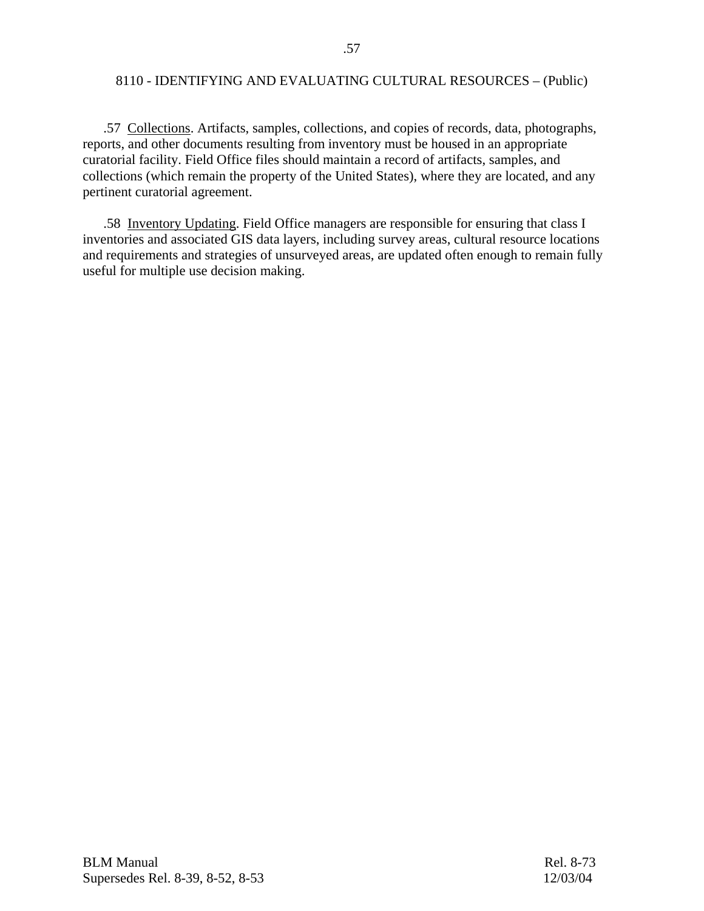.57 Collections. Artifacts, samples, collections, and copies of records, data, photographs, reports, and other documents resulting from inventory must be housed in an appropriate curatorial facility. Field Office files should maintain a record of artifacts, samples, and collections (which remain the property of the United States), where they are located, and any pertinent curatorial agreement.

 .58 Inventory Updating. Field Office managers are responsible for ensuring that class I inventories and associated GIS data layers, including survey areas, cultural resource locations and requirements and strategies of unsurveyed areas, are updated often enough to remain fully useful for multiple use decision making.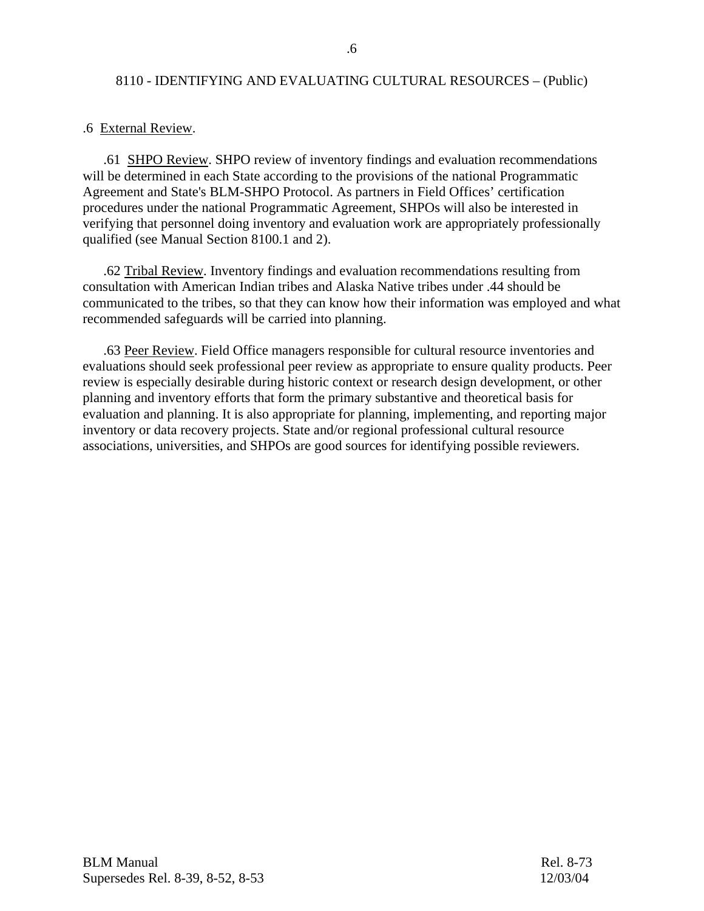#### .6 External Review.

 .61 SHPO Review. SHPO review of inventory findings and evaluation recommendations will be determined in each State according to the provisions of the national Programmatic Agreement and State's BLM-SHPO Protocol. As partners in Field Offices' certification procedures under the national Programmatic Agreement, SHPOs will also be interested in verifying that personnel doing inventory and evaluation work are appropriately professionally qualified (see Manual Section 8100.1 and 2).

 .62 Tribal Review. Inventory findings and evaluation recommendations resulting from consultation with American Indian tribes and Alaska Native tribes under .44 should be communicated to the tribes, so that they can know how their information was employed and what recommended safeguards will be carried into planning.

 .63 Peer Review. Field Office managers responsible for cultural resource inventories and evaluations should seek professional peer review as appropriate to ensure quality products. Peer review is especially desirable during historic context or research design development, or other planning and inventory efforts that form the primary substantive and theoretical basis for evaluation and planning. It is also appropriate for planning, implementing, and reporting major inventory or data recovery projects. State and/or regional professional cultural resource associations, universities, and SHPOs are good sources for identifying possible reviewers.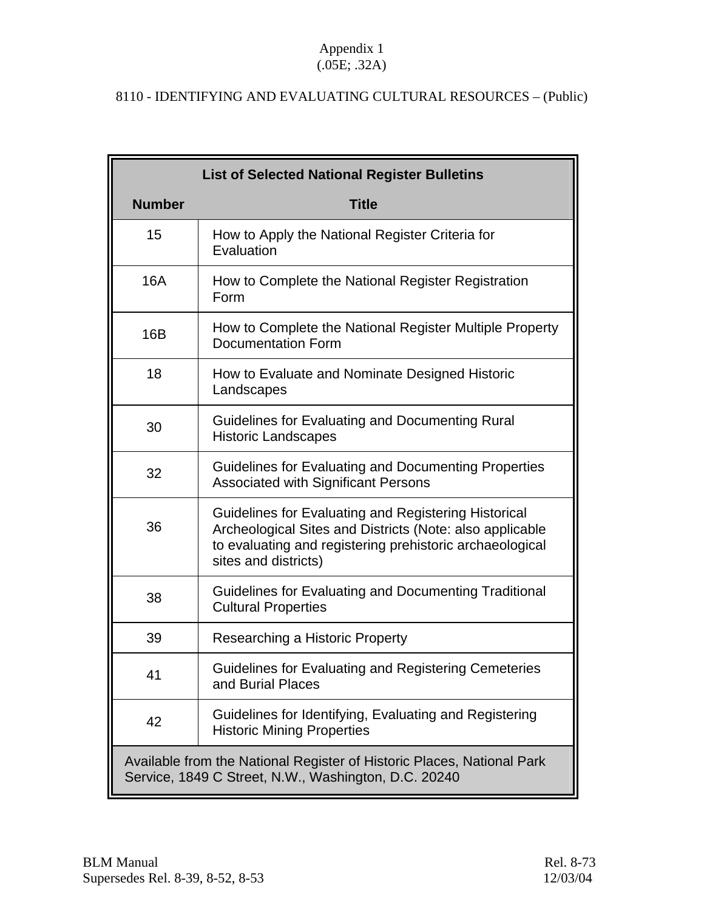## Appendix 1  $(.05E; .32A)$

# 8110 - IDENTIFYING AND EVALUATING CULTURAL RESOURCES – (Public)

|                                                                                                                                | <b>List of Selected National Register Bulletins</b>                                                                                                                                                  |
|--------------------------------------------------------------------------------------------------------------------------------|------------------------------------------------------------------------------------------------------------------------------------------------------------------------------------------------------|
| <b>Number</b>                                                                                                                  | <b>Title</b>                                                                                                                                                                                         |
| 15                                                                                                                             | How to Apply the National Register Criteria for<br>Evaluation                                                                                                                                        |
| <b>16A</b>                                                                                                                     | How to Complete the National Register Registration<br>Form                                                                                                                                           |
| 16B                                                                                                                            | How to Complete the National Register Multiple Property<br><b>Documentation Form</b>                                                                                                                 |
| 18                                                                                                                             | How to Evaluate and Nominate Designed Historic<br>Landscapes                                                                                                                                         |
| 30                                                                                                                             | Guidelines for Evaluating and Documenting Rural<br><b>Historic Landscapes</b>                                                                                                                        |
| 32                                                                                                                             | Guidelines for Evaluating and Documenting Properties<br><b>Associated with Significant Persons</b>                                                                                                   |
| 36                                                                                                                             | Guidelines for Evaluating and Registering Historical<br>Archeological Sites and Districts (Note: also applicable<br>to evaluating and registering prehistoric archaeological<br>sites and districts) |
| 38                                                                                                                             | Guidelines for Evaluating and Documenting Traditional<br><b>Cultural Properties</b>                                                                                                                  |
| 39                                                                                                                             | Researching a Historic Property                                                                                                                                                                      |
| 41                                                                                                                             | Guidelines for Evaluating and Registering Cemeteries<br>and Burial Places                                                                                                                            |
| 42                                                                                                                             | Guidelines for Identifying, Evaluating and Registering<br><b>Historic Mining Properties</b>                                                                                                          |
| Available from the National Register of Historic Places, National Park<br>Service, 1849 C Street, N.W., Washington, D.C. 20240 |                                                                                                                                                                                                      |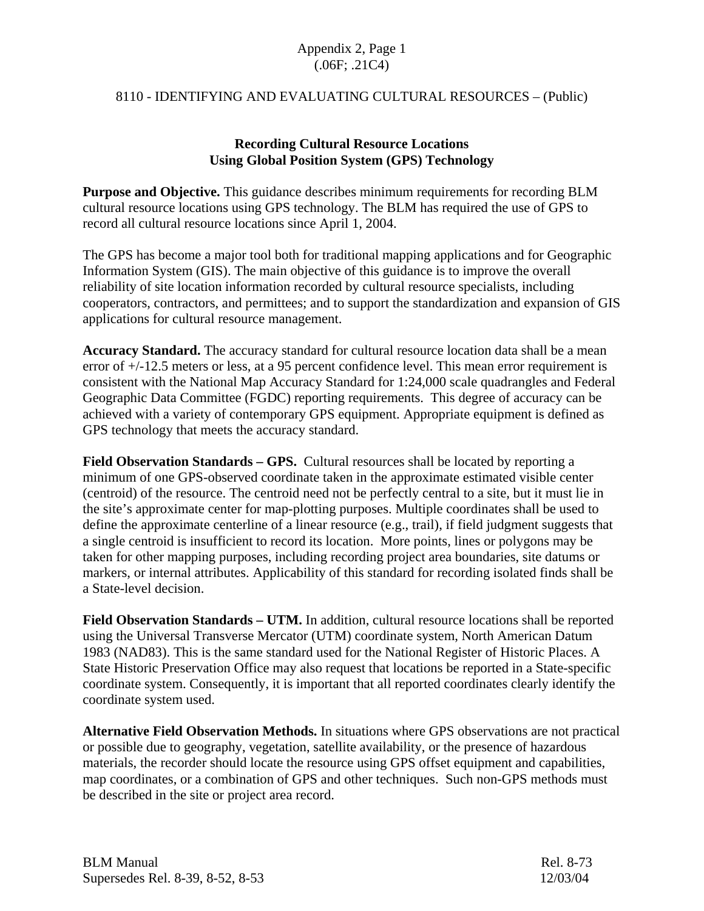## Appendix 2, Page 1 (.06F; .21C4)

## 8110 - IDENTIFYING AND EVALUATING CULTURAL RESOURCES – (Public)

## **Recording Cultural Resource Locations Using Global Position System (GPS) Technology**

**Purpose and Objective.** This guidance describes minimum requirements for recording BLM cultural resource locations using GPS technology. The BLM has required the use of GPS to record all cultural resource locations since April 1, 2004.

The GPS has become a major tool both for traditional mapping applications and for Geographic Information System (GIS). The main objective of this guidance is to improve the overall reliability of site location information recorded by cultural resource specialists, including cooperators, contractors, and permittees; and to support the standardization and expansion of GIS applications for cultural resource management.

**Accuracy Standard.** The accuracy standard for cultural resource location data shall be a mean error of +/-12.5 meters or less, at a 95 percent confidence level. This mean error requirement is consistent with the National Map Accuracy Standard for 1:24,000 scale quadrangles and Federal Geographic Data Committee (FGDC) reporting requirements. This degree of accuracy can be achieved with a variety of contemporary GPS equipment. Appropriate equipment is defined as GPS technology that meets the accuracy standard.

**Field Observation Standards – GPS.** Cultural resources shall be located by reporting a minimum of one GPS-observed coordinate taken in the approximate estimated visible center (centroid) of the resource. The centroid need not be perfectly central to a site, but it must lie in the site's approximate center for map-plotting purposes. Multiple coordinates shall be used to define the approximate centerline of a linear resource (e.g., trail), if field judgment suggests that a single centroid is insufficient to record its location. More points, lines or polygons may be taken for other mapping purposes, including recording project area boundaries, site datums or markers, or internal attributes. Applicability of this standard for recording isolated finds shall be a State-level decision.

**Field Observation Standards – UTM.** In addition, cultural resource locations shall be reported using the Universal Transverse Mercator (UTM) coordinate system, North American Datum 1983 (NAD83). This is the same standard used for the National Register of Historic Places. A State Historic Preservation Office may also request that locations be reported in a State-specific coordinate system. Consequently, it is important that all reported coordinates clearly identify the coordinate system used.

**Alternative Field Observation Methods.** In situations where GPS observations are not practical or possible due to geography, vegetation, satellite availability, or the presence of hazardous materials, the recorder should locate the resource using GPS offset equipment and capabilities, map coordinates, or a combination of GPS and other techniques. Such non-GPS methods must be described in the site or project area record.